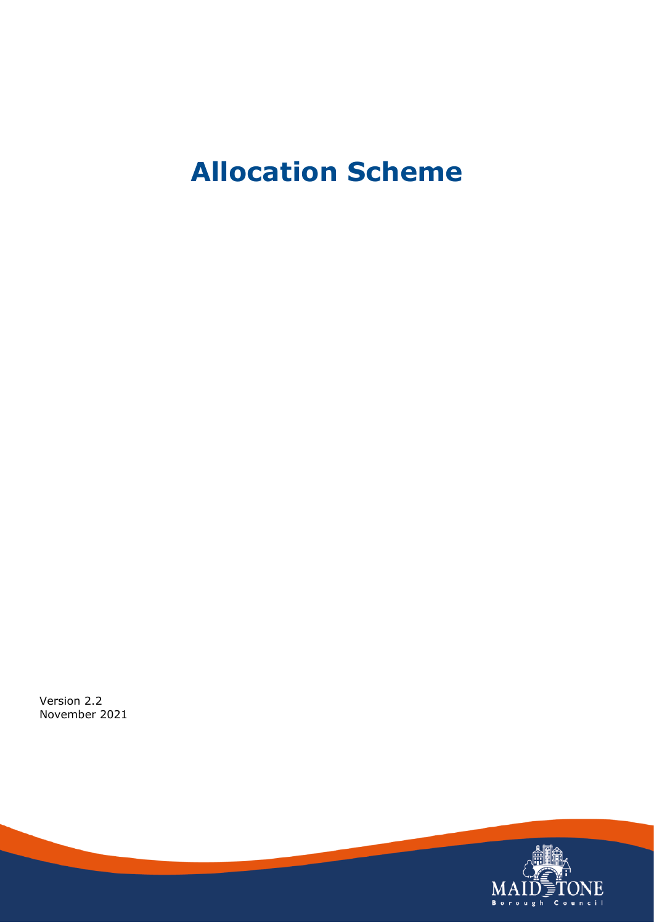# **Allocation Scheme**

Version 2.2 November 2021

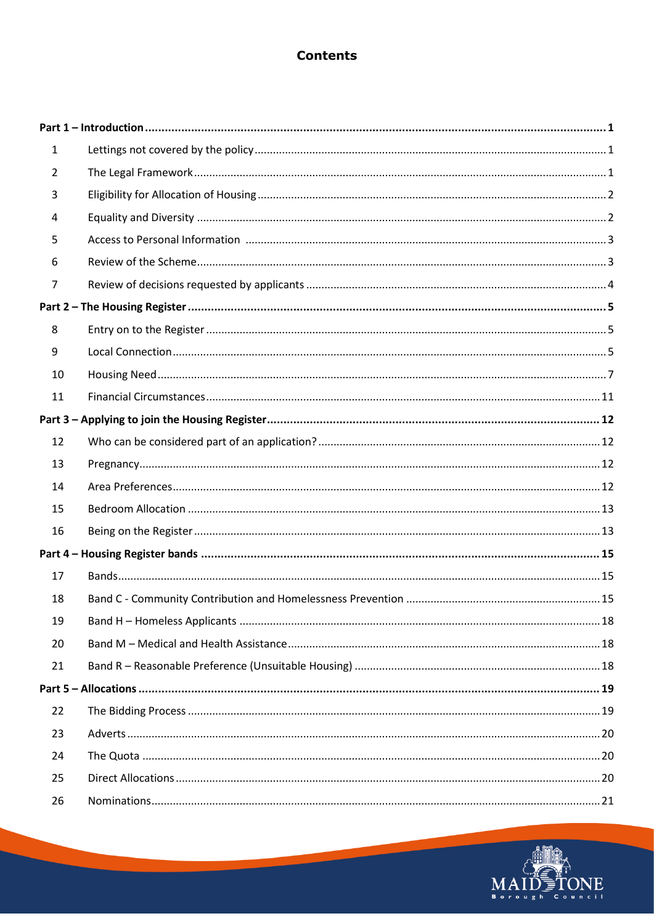### **Contents**

| $\mathbf{1}$   |  |
|----------------|--|
| $\overline{2}$ |  |
| 3              |  |
| 4              |  |
| 5              |  |
| 6              |  |
| 7              |  |
|                |  |
| 8              |  |
| 9              |  |
| 10             |  |
| 11             |  |
|                |  |
| 12             |  |
| 13             |  |
| 14             |  |
| 15             |  |
| 16             |  |
|                |  |
| 17             |  |
| 18             |  |
| 19             |  |
| 20             |  |
| 21             |  |
|                |  |
| 22             |  |
| 23             |  |
| 24             |  |
| 25             |  |
| 26             |  |

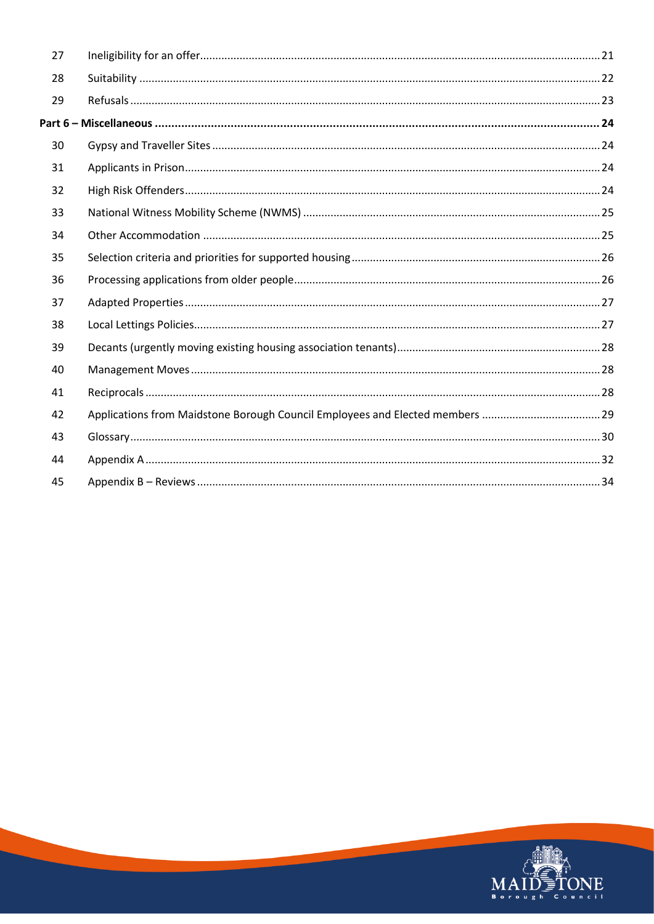| 27 |                                                                              |  |
|----|------------------------------------------------------------------------------|--|
| 28 |                                                                              |  |
| 29 |                                                                              |  |
|    |                                                                              |  |
| 30 |                                                                              |  |
| 31 |                                                                              |  |
| 32 |                                                                              |  |
| 33 |                                                                              |  |
| 34 |                                                                              |  |
| 35 |                                                                              |  |
| 36 |                                                                              |  |
| 37 |                                                                              |  |
| 38 |                                                                              |  |
| 39 |                                                                              |  |
| 40 |                                                                              |  |
| 41 |                                                                              |  |
| 42 | Applications from Maidstone Borough Council Employees and Elected members 29 |  |
| 43 |                                                                              |  |
| 44 |                                                                              |  |
| 45 |                                                                              |  |

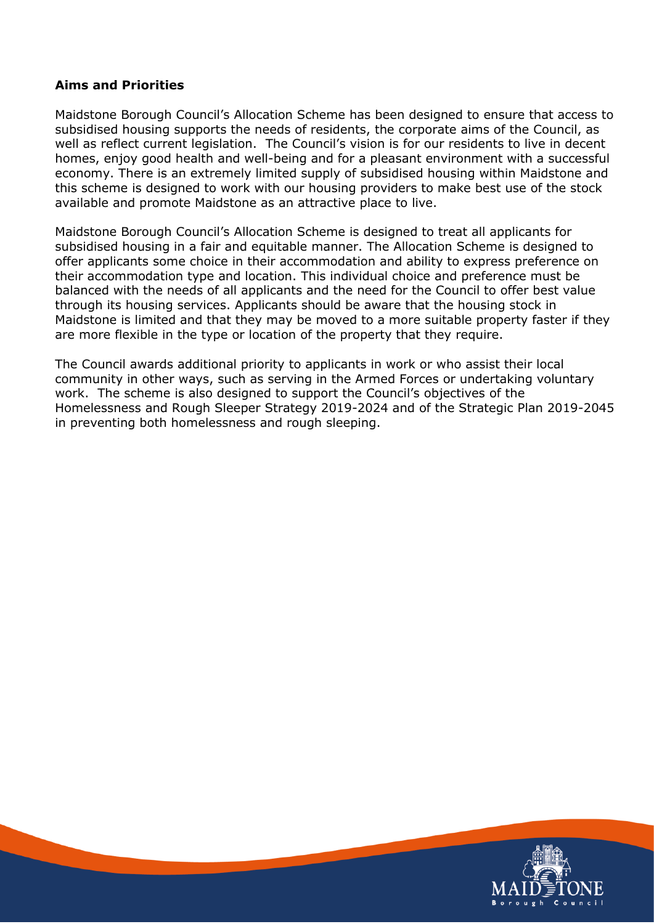#### **Aims and Priorities**

Maidstone Borough Council's Allocation Scheme has been designed to ensure that access to subsidised housing supports the needs of residents, the corporate aims of the Council, as well as reflect current legislation. The Council's vision is for our residents to live in decent homes, enjoy good health and well-being and for a pleasant environment with a successful economy. There is an extremely limited supply of subsidised housing within Maidstone and this scheme is designed to work with our housing providers to make best use of the stock available and promote Maidstone as an attractive place to live.

Maidstone Borough Council's Allocation Scheme is designed to treat all applicants for subsidised housing in a fair and equitable manner. The Allocation Scheme is designed to offer applicants some choice in their accommodation and ability to express preference on their accommodation type and location. This individual choice and preference must be balanced with the needs of all applicants and the need for the Council to offer best value through its housing services. Applicants should be aware that the housing stock in Maidstone is limited and that they may be moved to a more suitable property faster if they are more flexible in the type or location of the property that they require.

The Council awards additional priority to applicants in work or who assist their local community in other ways, such as serving in the Armed Forces or undertaking voluntary work. The scheme is also designed to support the Council's objectives of the Homelessness and Rough Sleeper Strategy 2019-2024 and of the Strategic Plan 2019-2045 in preventing both homelessness and rough sleeping.

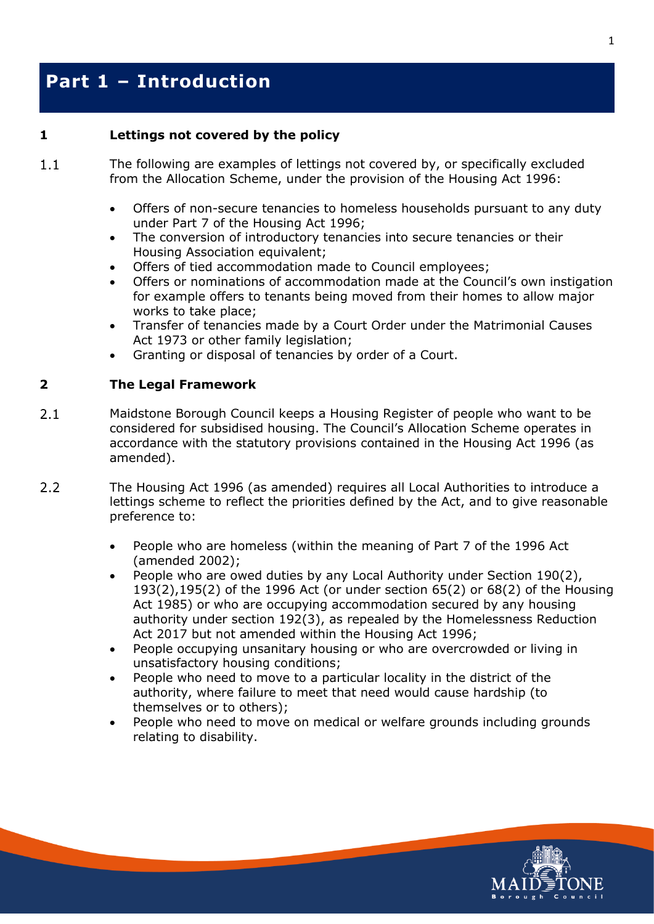### <span id="page-4-0"></span>**Part 1 – Introduction**

#### <span id="page-4-1"></span>**1 Lettings not covered by the policy**

- $1.1$ The following are examples of lettings not covered by, or specifically excluded from the Allocation Scheme, under the provision of the Housing Act 1996:
	- Offers of non-secure tenancies to homeless households pursuant to any duty under Part 7 of the Housing Act 1996;
	- The conversion of introductory tenancies into secure tenancies or their Housing Association equivalent;
	- Offers of tied accommodation made to Council employees;
	- Offers or nominations of accommodation made at the Council's own instigation for example offers to tenants being moved from their homes to allow major works to take place;
	- Transfer of tenancies made by a Court Order under the Matrimonial Causes Act 1973 or other family legislation;
	- Granting or disposal of tenancies by order of a Court.

#### <span id="page-4-2"></span>**2 The Legal Framework**

- $2.1$ Maidstone Borough Council keeps a Housing Register of people who want to be considered for subsidised housing. The Council's Allocation Scheme operates in accordance with the statutory provisions contained in the Housing Act 1996 (as amended).
- $2.2$ The Housing Act 1996 (as amended) requires all Local Authorities to introduce a lettings scheme to reflect the priorities defined by the Act, and to give reasonable preference to:
	- People who are homeless (within the meaning of Part 7 of the 1996 Act (amended 2002);
	- People who are owed duties by any Local Authority under Section 190(2), 193(2),195(2) of the 1996 Act (or under section 65(2) or 68(2) of the Housing Act 1985) or who are occupying accommodation secured by any housing authority under section 192(3), as repealed by the Homelessness Reduction Act 2017 but not amended within the Housing Act 1996;
	- People occupying unsanitary housing or who are overcrowded or living in unsatisfactory housing conditions;
	- People who need to move to a particular locality in the district of the authority, where failure to meet that need would cause hardship (to themselves or to others);
	- People who need to move on medical or welfare grounds including grounds relating to disability.

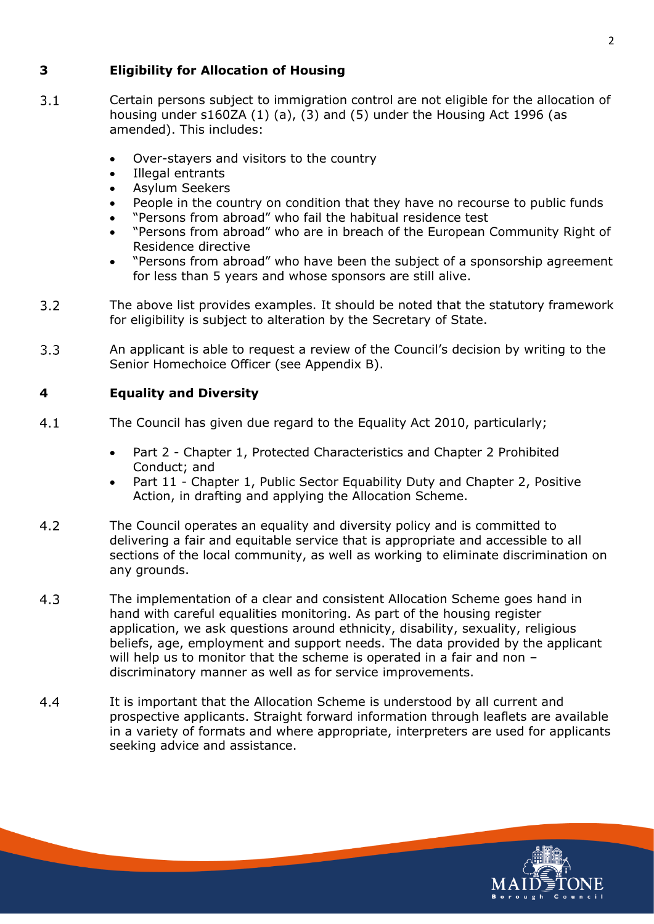#### <span id="page-5-0"></span>**3 Eligibility for Allocation of Housing**

- $3.1$ Certain persons subject to immigration control are not eligible for the allocation of housing under s160ZA (1) (a), (3) and (5) under the Housing Act 1996 (as amended). This includes:
	- Over-stayers and visitors to the country
	- Illegal entrants
	- Asylum Seekers
	- People in the country on condition that they have no recourse to public funds
	- "Persons from abroad" who fail the habitual residence test
	- "Persons from abroad" who are in breach of the European Community Right of Residence directive
	- "Persons from abroad" who have been the subject of a sponsorship agreement for less than 5 years and whose sponsors are still alive.
- $3.2$ The above list provides examples. It should be noted that the statutory framework for eligibility is subject to alteration by the Secretary of State.
- $3.3$ An applicant is able to request a review of the Council's decision by writing to the Senior Homechoice Officer (see Appendix B).

#### <span id="page-5-1"></span>**4 Equality and Diversity**

- $4.1$ The Council has given due regard to the Equality Act 2010, particularly;
	- Part 2 Chapter 1, Protected Characteristics and Chapter 2 Prohibited Conduct; and
	- Part 11 Chapter 1, Public Sector Equability Duty and Chapter 2, Positive Action, in drafting and applying the Allocation Scheme.
- $4.2$ The Council operates an equality and diversity policy and is committed to delivering a fair and equitable service that is appropriate and accessible to all sections of the local community, as well as working to eliminate discrimination on any grounds.
- $4.3$ The implementation of a clear and consistent Allocation Scheme goes hand in hand with careful equalities monitoring. As part of the housing register application, we ask questions around ethnicity, disability, sexuality, religious beliefs, age, employment and support needs. The data provided by the applicant will help us to monitor that the scheme is operated in a fair and non discriminatory manner as well as for service improvements.
- $4.4$ It is important that the Allocation Scheme is understood by all current and prospective applicants. Straight forward information through leaflets are available in a variety of formats and where appropriate, interpreters are used for applicants seeking advice and assistance.

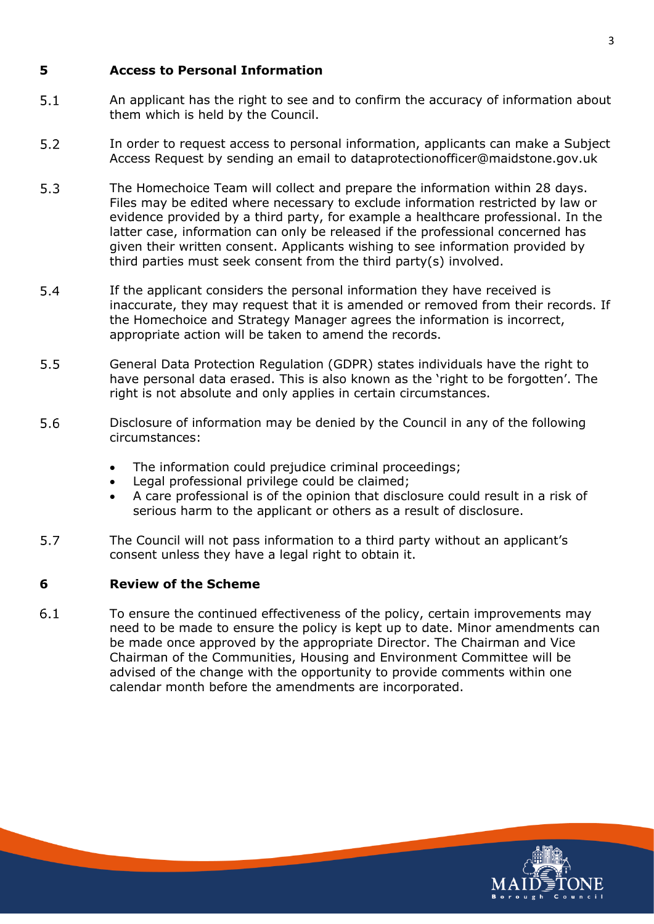#### <span id="page-6-0"></span>**5 Access to Personal Information**

- $5.1$ An applicant has the right to see and to confirm the accuracy of information about them which is held by the Council.
- $5.2$ In order to request access to personal information, applicants can make a Subject Access Request by sending an email to [dataprotectionofficer@maidstone.gov.uk](mailto:dataprotectionofficer@maidstone.gov.uk?subject=Subject%20Access%20Request)
- $5.3$ The Homechoice Team will collect and prepare the information within 28 days. Files may be edited where necessary to exclude information restricted by law or evidence provided by a third party, for example a healthcare professional. In the latter case, information can only be released if the professional concerned has given their written consent. Applicants wishing to see information provided by third parties must seek consent from the third party(s) involved.
- 5.4 If the applicant considers the personal information they have received is inaccurate, they may request that it is amended or removed from their records. If the Homechoice and Strategy Manager agrees the information is incorrect, appropriate action will be taken to amend the records.
- $5.5$ General Data Protection Regulation (GDPR) states individuals have the right to have personal data erased. This is also known as the 'right to be forgotten'. The right is not absolute and only applies in certain circumstances.
- 5.6 Disclosure of information may be denied by the Council in any of the following circumstances:
	- The information could prejudice criminal proceedings;
	- Legal professional privilege could be claimed;
	- A care professional is of the opinion that disclosure could result in a risk of serious harm to the applicant or others as a result of disclosure.
- 5.7 The Council will not pass information to a third party without an applicant's consent unless they have a legal right to obtain it.

#### <span id="page-6-1"></span>**6 Review of the Scheme**

 $6.1$ To ensure the continued effectiveness of the policy, certain improvements may need to be made to ensure the policy is kept up to date. Minor amendments can be made once approved by the appropriate Director. The Chairman and Vice Chairman of the Communities, Housing and Environment Committee will be advised of the change with the opportunity to provide comments within one calendar month before the amendments are incorporated.



3

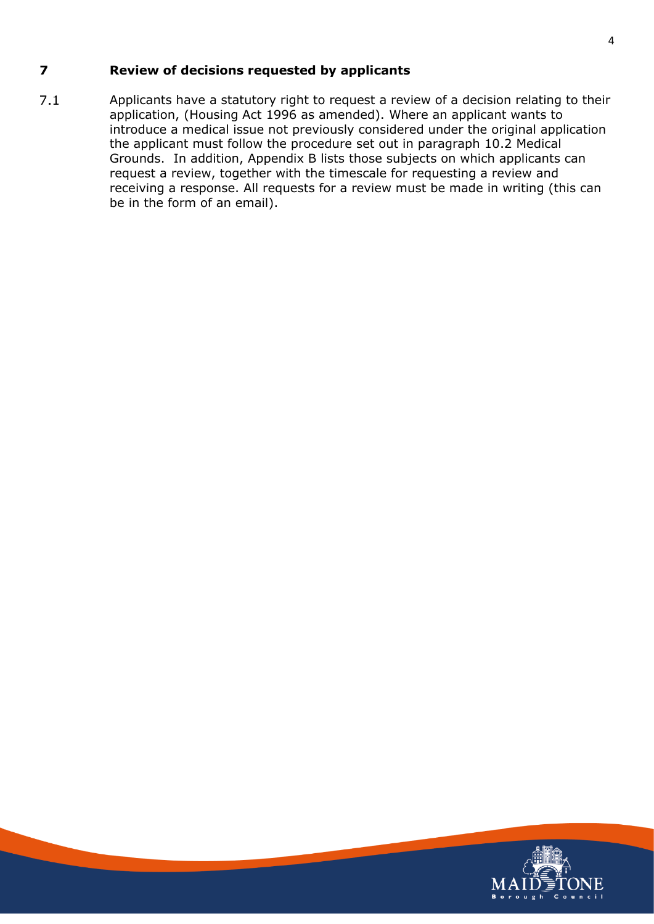### <span id="page-7-0"></span>**7 Review of decisions requested by applicants**

 $7.1$ Applicants have a statutory right to request a review of a decision relating to their application, (Housing Act 1996 as amended). Where an applicant wants to introduce a medical issue not previously considered under the original application the applicant must follow the procedure set out in paragraph 10.2 Medical Grounds. In addition, Appendix B lists those subjects on which applicants can request a review, together with the timescale for requesting a review and receiving a response. All requests for a review must be made in writing (this can be in the form of an email).

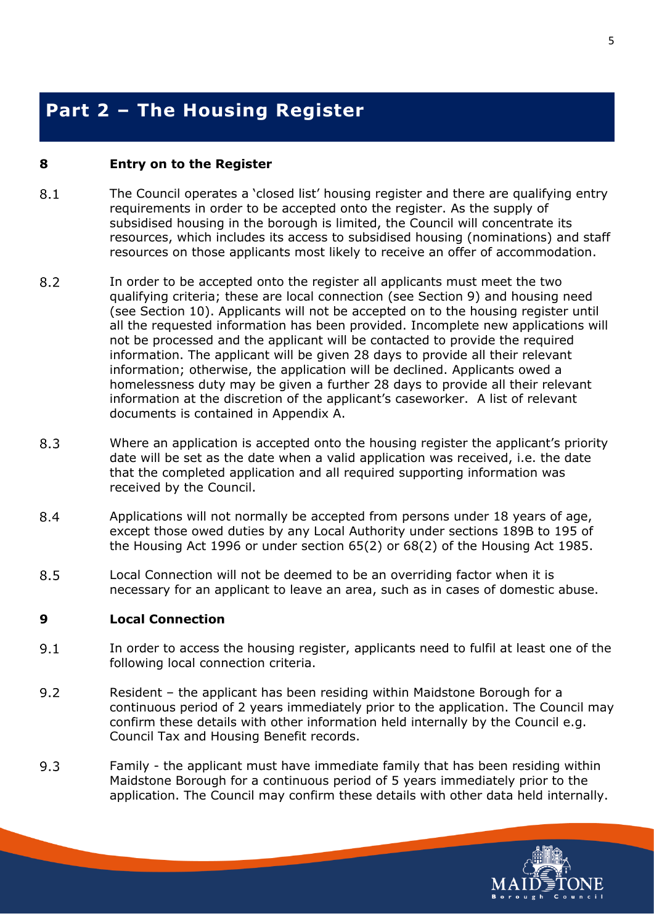## <span id="page-8-0"></span>**Part 2 – The Housing Register**

#### <span id="page-8-1"></span>**8 Entry on to the Register**

- 8.1 The Council operates a 'closed list' housing register and there are qualifying entry requirements in order to be accepted onto the register. As the supply of subsidised housing in the borough is limited, the Council will concentrate its resources, which includes its access to subsidised housing (nominations) and staff resources on those applicants most likely to receive an offer of accommodation.
- 8.2 In order to be accepted onto the register all applicants must meet the two qualifying criteria; these are local connection (see Section 9) and housing need (see Section 10). Applicants will not be accepted on to the housing register until all the requested information has been provided. Incomplete new applications will not be processed and the applicant will be contacted to provide the required information. The applicant will be given 28 days to provide all their relevant information; otherwise, the application will be declined. Applicants owed a homelessness duty may be given a further 28 days to provide all their relevant information at the discretion of the applicant's caseworker. A list of relevant documents is contained in Appendix A.
- 8.3 Where an application is accepted onto the housing register the applicant's priority date will be set as the date when a valid application was received, i.e. the date that the completed application and all required supporting information was received by the Council.
- 8.4 Applications will not normally be accepted from persons under 18 years of age, except those owed duties by any Local Authority under sections 189B to 195 of the Housing Act 1996 or under section 65(2) or 68(2) of the Housing Act 1985.
- 8.5 Local Connection will not be deemed to be an overriding factor when it is necessary for an applicant to leave an area, such as in cases of domestic abuse.

#### <span id="page-8-2"></span>**9 Local Connection**

- $9.1$ In order to access the housing register, applicants need to fulfil at least one of the following local connection criteria.
- $9.2$ Resident – the applicant has been residing within Maidstone Borough for a continuous period of 2 years immediately prior to the application. The Council may confirm these details with other information held internally by the Council e.g. Council Tax and Housing Benefit records.
- $9.3$ Family - the applicant must have immediate family that has been residing within Maidstone Borough for a continuous period of 5 years immediately prior to the application. The Council may confirm these details with other data held internally.

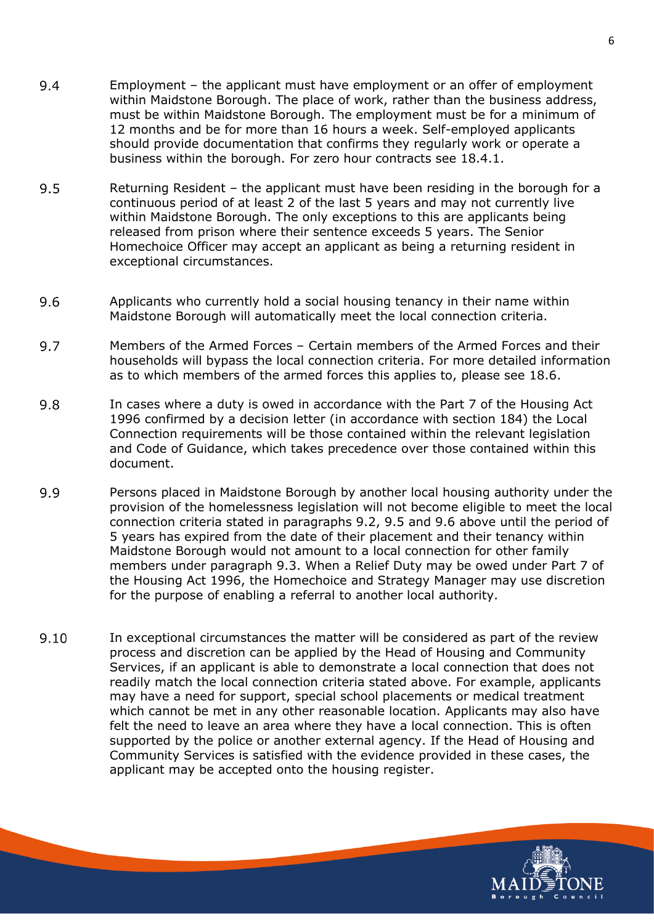- 9.4 Employment – the applicant must have employment or an offer of employment within Maidstone Borough. The place of work, rather than the business address, must be within Maidstone Borough. The employment must be for a minimum of 12 months and be for more than 16 hours a week. Self-employed applicants should provide documentation that confirms they regularly work or operate a business within the borough. For zero hour contracts see 18.4.1.
- 9.5 Returning Resident – the applicant must have been residing in the borough for a continuous period of at least 2 of the last 5 years and may not currently live within Maidstone Borough. The only exceptions to this are applicants being released from prison where their sentence exceeds 5 years. The Senior Homechoice Officer may accept an applicant as being a returning resident in exceptional circumstances.
- 9.6 Applicants who currently hold a social housing tenancy in their name within Maidstone Borough will automatically meet the local connection criteria.
- 9.7 Members of the Armed Forces – Certain members of the Armed Forces and their households will bypass the local connection criteria. For more detailed information as to which members of the armed forces this applies to, please see 18.6.
- 9.8 In cases where a duty is owed in accordance with the Part 7 of the Housing Act 1996 confirmed by a decision letter (in accordance with section 184) the Local Connection requirements will be those contained within the relevant legislation and Code of Guidance, which takes precedence over those contained within this document.
- 9.9 Persons placed in Maidstone Borough by another local housing authority under the provision of the homelessness legislation will not become eligible to meet the local connection criteria stated in paragraphs 9.2, 9.5 and 9.6 above until the period of 5 years has expired from the date of their placement and their tenancy within Maidstone Borough would not amount to a local connection for other family members under paragraph 9.3. When a Relief Duty may be owed under Part 7 of the Housing Act 1996, the Homechoice and Strategy Manager may use discretion for the purpose of enabling a referral to another local authority.
- 9.10 In exceptional circumstances the matter will be considered as part of the review process and discretion can be applied by the Head of Housing and Community Services, if an applicant is able to demonstrate a local connection that does not readily match the local connection criteria stated above. For example, applicants may have a need for support, special school placements or medical treatment which cannot be met in any other reasonable location. Applicants may also have felt the need to leave an area where they have a local connection. This is often supported by the police or another external agency. If the Head of Housing and Community Services is satisfied with the evidence provided in these cases, the applicant may be accepted onto the housing register.

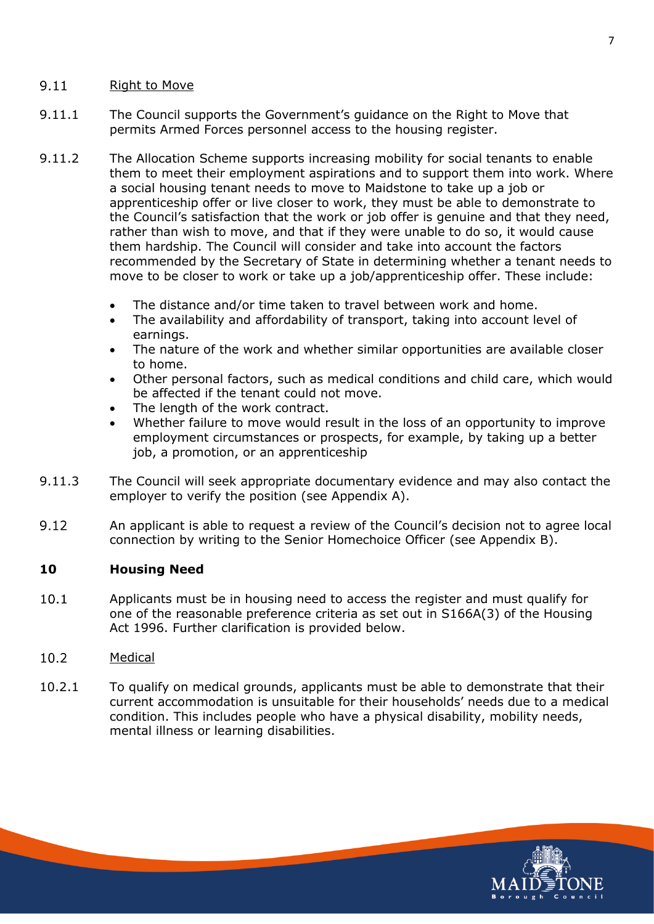#### $9.11$ Right to Move

- 9.11.1 The Council supports the Government's guidance on the Right to Move that permits Armed Forces personnel access to the housing register.
- 9.11.2 The Allocation Scheme supports increasing mobility for social tenants to enable them to meet their employment aspirations and to support them into work. Where a social housing tenant needs to move to Maidstone to take up a job or apprenticeship offer or live closer to work, they must be able to demonstrate to the Council's satisfaction that the work or job offer is genuine and that they need, rather than wish to move, and that if they were unable to do so, it would cause them hardship. The Council will consider and take into account the factors recommended by the Secretary of State in determining whether a tenant needs to move to be closer to work or take up a job/apprenticeship offer. These include:
	- The distance and/or time taken to travel between work and home.
	- The availability and affordability of transport, taking into account level of earnings.
	- The nature of the work and whether similar opportunities are available closer to home.
	- Other personal factors, such as medical conditions and child care, which would be affected if the tenant could not move.
	- The length of the work contract.
	- Whether failure to move would result in the loss of an opportunity to improve employment circumstances or prospects, for example, by taking up a better job, a promotion, or an apprenticeship
- 9.11.3 The Council will seek appropriate documentary evidence and may also contact the employer to verify the position (see Appendix A).
- $9.12$ An applicant is able to request a review of the Council's decision not to agree local connection by writing to the Senior Homechoice Officer (see Appendix B).

#### <span id="page-10-0"></span>**10 Housing Need**

 $10.1$ Applicants must be in housing need to access the register and must qualify for one of the reasonable preference criteria as set out in S166A(3) of the Housing Act 1996. Further clarification is provided below.

#### 10.2 Medical

10.2.1 To qualify on medical grounds, applicants must be able to demonstrate that their current accommodation is unsuitable for their households' needs due to a medical condition. This includes people who have a physical disability, mobility needs, mental illness or learning disabilities.

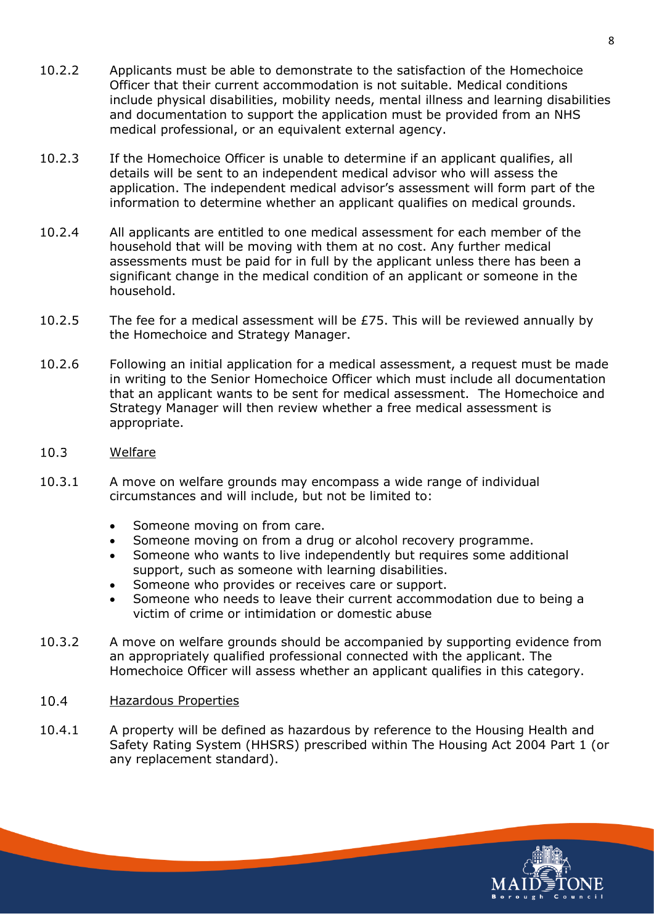- 10.2.2 Applicants must be able to demonstrate to the satisfaction of the Homechoice Officer that their current accommodation is not suitable. Medical conditions include physical disabilities, mobility needs, mental illness and learning disabilities and documentation to support the application must be provided from an NHS medical professional, or an equivalent external agency.
- 10.2.3 If the Homechoice Officer is unable to determine if an applicant qualifies, all details will be sent to an independent medical advisor who will assess the application. The independent medical advisor's assessment will form part of the information to determine whether an applicant qualifies on medical grounds.
- 10.2.4 All applicants are entitled to one medical assessment for each member of the household that will be moving with them at no cost. Any further medical assessments must be paid for in full by the applicant unless there has been a significant change in the medical condition of an applicant or someone in the household.
- 10.2.5 The fee for a medical assessment will be  $E$ 75. This will be reviewed annually by the Homechoice and Strategy Manager.
- 10.2.6 Following an initial application for a medical assessment, a request must be made in writing to the Senior Homechoice Officer which must include all documentation that an applicant wants to be sent for medical assessment. The Homechoice and Strategy Manager will then review whether a free medical assessment is appropriate.
- $10.3$ Welfare
- 10.3.1 A move on welfare grounds may encompass a wide range of individual circumstances and will include, but not be limited to:
	- Someone moving on from care.
	- Someone moving on from a drug or alcohol recovery programme.
	- Someone who wants to live independently but requires some additional support, such as someone with learning disabilities.
	- Someone who provides or receives care or support.
	- Someone who needs to leave their current accommodation due to being a victim of crime or intimidation or domestic abuse
- 10.3.2 A move on welfare grounds should be accompanied by supporting evidence from an appropriately qualified professional connected with the applicant. The Homechoice Officer will assess whether an applicant qualifies in this category.
- $10.4$ Hazardous Properties
- 10.4.1 A property will be defined as hazardous by reference to the Housing Health and Safety Rating System (HHSRS) prescribed within The Housing Act 2004 Part 1 (or any replacement standard).

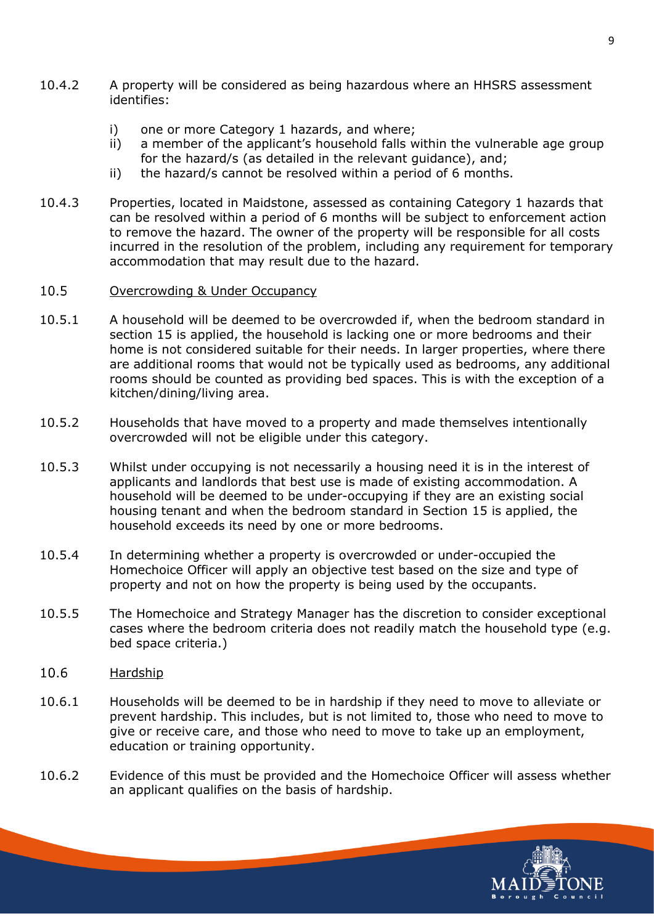- 10.4.2 A property will be considered as being hazardous where an HHSRS assessment identifies:
	- i) one or more Category 1 hazards, and where;
	- ii) a member of the applicant's household falls within the vulnerable age group for the hazard/s (as detailed in the relevant guidance), and;
	- ii) the hazard/s cannot be resolved within a period of 6 months.
- 10.4.3 Properties, located in Maidstone, assessed as containing Category 1 hazards that can be resolved within a period of 6 months will be subject to enforcement action to remove the hazard. The owner of the property will be responsible for all costs incurred in the resolution of the problem, including any requirement for temporary accommodation that may result due to the hazard.

#### 10.5 Overcrowding & Under Occupancy

- 10.5.1 A household will be deemed to be overcrowded if, when the bedroom standard in section 15 is applied, the household is lacking one or more bedrooms and their home is not considered suitable for their needs. In larger properties, where there are additional rooms that would not be typically used as bedrooms, any additional rooms should be counted as providing bed spaces. This is with the exception of a kitchen/dining/living area.
- 10.5.2 Households that have moved to a property and made themselves intentionally overcrowded will not be eligible under this category.
- 10.5.3 Whilst under occupying is not necessarily a housing need it is in the interest of applicants and landlords that best use is made of existing accommodation. A household will be deemed to be under-occupying if they are an existing social housing tenant and when the bedroom standard in Section 15 is applied, the household exceeds its need by one or more bedrooms.
- 10.5.4 In determining whether a property is overcrowded or under-occupied the Homechoice Officer will apply an objective test based on the size and type of property and not on how the property is being used by the occupants.
- 10.5.5 The Homechoice and Strategy Manager has the discretion to consider exceptional cases where the bedroom criteria does not readily match the household type (e.g. bed space criteria.)
- 10.6 Hardship
- 10.6.1 Households will be deemed to be in hardship if they need to move to alleviate or prevent hardship. This includes, but is not limited to, those who need to move to give or receive care, and those who need to move to take up an employment, education or training opportunity.
- 10.6.2 Evidence of this must be provided and the Homechoice Officer will assess whether an applicant qualifies on the basis of hardship.

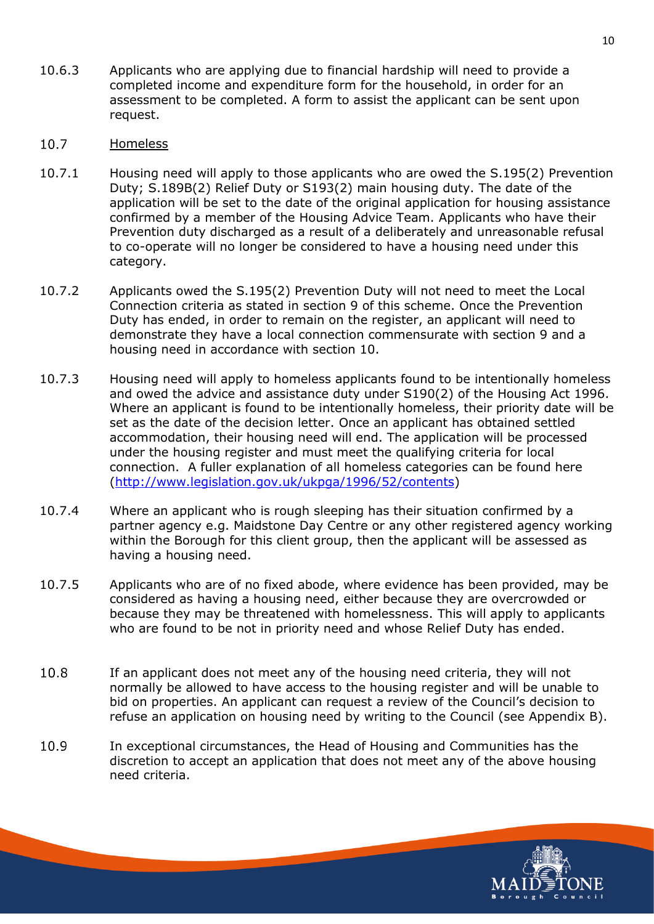- 10.6.3 Applicants who are applying due to financial hardship will need to provide a completed income and expenditure form for the household, in order for an assessment to be completed. A form to assist the applicant can be sent upon request.
- $10.7$ Homeless
- 10.7.1 Housing need will apply to those applicants who are owed the S.195(2) Prevention Duty; S.189B(2) Relief Duty or S193(2) main housing duty. The date of the application will be set to the date of the original application for housing assistance confirmed by a member of the Housing Advice Team. Applicants who have their Prevention duty discharged as a result of a deliberately and unreasonable refusal to co-operate will no longer be considered to have a housing need under this category.
- 10.7.2 Applicants owed the S.195(2) Prevention Duty will not need to meet the Local Connection criteria as stated in section 9 of this scheme. Once the Prevention Duty has ended, in order to remain on the register, an applicant will need to demonstrate they have a local connection commensurate with section 9 and a housing need in accordance with section 10.
- 10.7.3 Housing need will apply to homeless applicants found to be intentionally homeless and owed the advice and assistance duty under S190(2) of the Housing Act 1996. Where an applicant is found to be intentionally homeless, their priority date will be set as the date of the decision letter. Once an applicant has obtained settled accommodation, their housing need will end. The application will be processed under the housing register and must meet the qualifying criteria for local connection. A fuller explanation of all homeless categories can be found here [\(http://www.legislation.gov.uk/ukpga/1996/52/contents\)](http://www.legislation.gov.uk/ukpga/1996/52/contents)
- 10.7.4 Where an applicant who is rough sleeping has their situation confirmed by a partner agency e.g. Maidstone Day Centre or any other registered agency working within the Borough for this client group, then the applicant will be assessed as having a housing need.
- 10.7.5 Applicants who are of no fixed abode, where evidence has been provided, may be considered as having a housing need, either because they are overcrowded or because they may be threatened with homelessness. This will apply to applicants who are found to be not in priority need and whose Relief Duty has ended.
- 10.8 If an applicant does not meet any of the housing need criteria, they will not normally be allowed to have access to the housing register and will be unable to bid on properties. An applicant can request a review of the Council's decision to refuse an application on housing need by writing to the Council (see Appendix B).
- 10.9 In exceptional circumstances, the Head of Housing and Communities has the discretion to accept an application that does not meet any of the above housing need criteria.

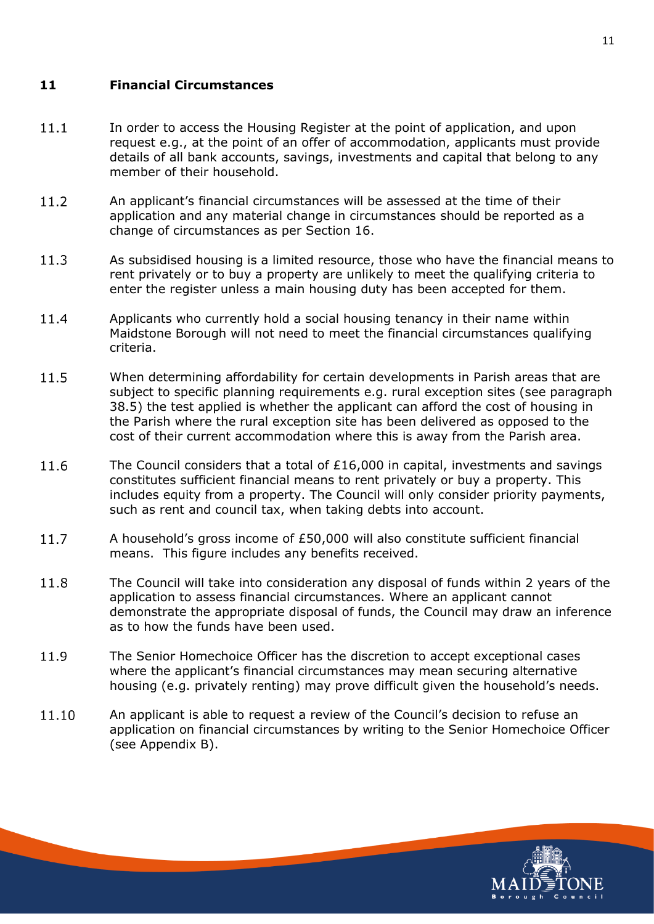#### <span id="page-14-0"></span>**11 Financial Circumstances**

- $11.1$ In order to access the Housing Register at the point of application, and upon request e.g., at the point of an offer of accommodation, applicants must provide details of all bank accounts, savings, investments and capital that belong to any member of their household.
- 11.2 An applicant's financial circumstances will be assessed at the time of their application and any material change in circumstances should be reported as a change of circumstances as per Section 16.
- $11.3$ As subsidised housing is a limited resource, those who have the financial means to rent privately or to buy a property are unlikely to meet the qualifying criteria to enter the register unless a main housing duty has been accepted for them.
- 11.4 Applicants who currently hold a social housing tenancy in their name within Maidstone Borough will not need to meet the financial circumstances qualifying criteria.
- 11.5 When determining affordability for certain developments in Parish areas that are subject to specific planning requirements e.g. rural exception sites (see paragraph 38.5) the test applied is whether the applicant can afford the cost of housing in the Parish where the rural exception site has been delivered as opposed to the cost of their current accommodation where this is away from the Parish area.
- $11.6$ The Council considers that a total of £16,000 in capital, investments and savings constitutes sufficient financial means to rent privately or buy a property. This includes equity from a property. The Council will only consider priority payments, such as rent and council tax, when taking debts into account.
- 11.7 A household's gross income of £50,000 will also constitute sufficient financial means. This figure includes any benefits received.
- 11.8 The Council will take into consideration any disposal of funds within 2 years of the application to assess financial circumstances. Where an applicant cannot demonstrate the appropriate disposal of funds, the Council may draw an inference as to how the funds have been used.
- 11.9 The Senior Homechoice Officer has the discretion to accept exceptional cases where the applicant's financial circumstances may mean securing alternative housing (e.g. privately renting) may prove difficult given the household's needs.
- 11.10 An applicant is able to request a review of the Council's decision to refuse an application on financial circumstances by writing to the Senior Homechoice Officer (see Appendix B).

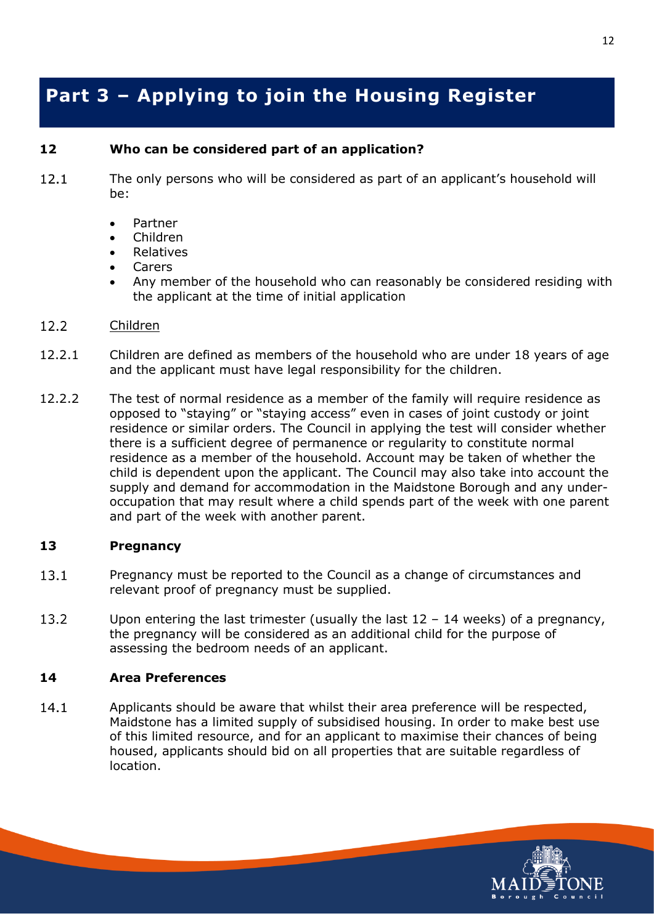## <span id="page-15-0"></span>**Part 3 – Applying to join the Housing Register**

#### <span id="page-15-1"></span>**12 Who can be considered part of an application?**

- $12.1$ The only persons who will be considered as part of an applicant's household will be:
	- Partner
	- Children
	- Relatives
	- **Carers**
	- Any member of the household who can reasonably be considered residing with the applicant at the time of initial application
- $12.2$ Children
- 12.2.1 Children are defined as members of the household who are under 18 years of age and the applicant must have legal responsibility for the children.
- 12.2.2 The test of normal residence as a member of the family will require residence as opposed to "staying" or "staying access" even in cases of joint custody or joint residence or similar orders. The Council in applying the test will consider whether there is a sufficient degree of permanence or regularity to constitute normal residence as a member of the household. Account may be taken of whether the child is dependent upon the applicant. The Council may also take into account the supply and demand for accommodation in the Maidstone Borough and any underoccupation that may result where a child spends part of the week with one parent and part of the week with another parent.

#### <span id="page-15-2"></span>**13 Pregnancy**

- $13.1$ Pregnancy must be reported to the Council as a change of circumstances and relevant proof of pregnancy must be supplied.
- 13.2 Upon entering the last trimester (usually the last  $12 - 14$  weeks) of a pregnancy, the pregnancy will be considered as an additional child for the purpose of assessing the bedroom needs of an applicant.

#### <span id="page-15-3"></span>**14 Area Preferences**

14.1 Applicants should be aware that whilst their area preference will be respected, Maidstone has a limited supply of subsidised housing. In order to make best use of this limited resource, and for an applicant to maximise their chances of being housed, applicants should bid on all properties that are suitable regardless of location.

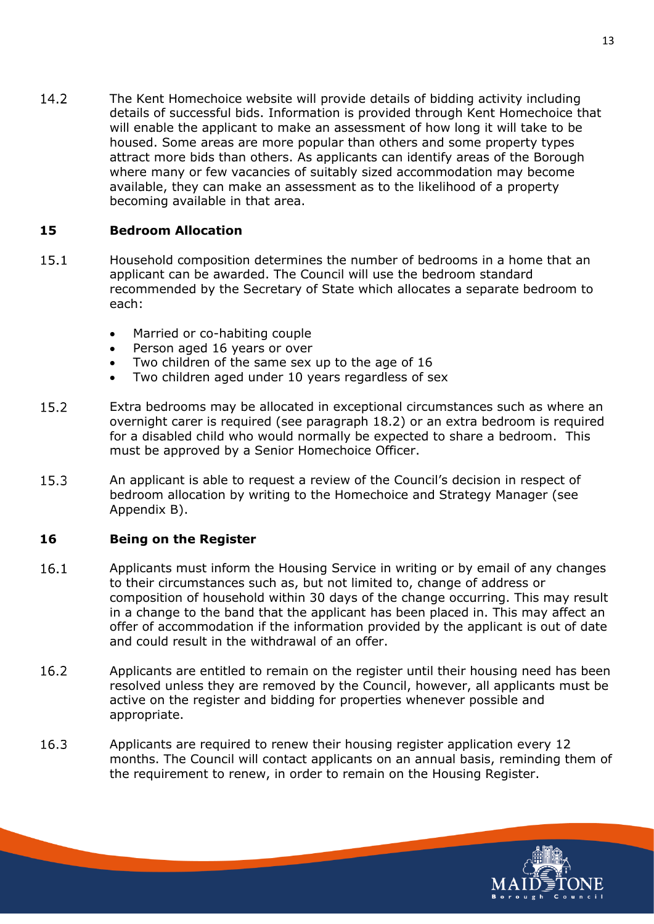14.2 The Kent Homechoice website will provide details of bidding activity including details of successful bids. Information is provided through Kent Homechoice that will enable the applicant to make an assessment of how long it will take to be housed. Some areas are more popular than others and some property types attract more bids than others. As applicants can identify areas of the Borough where many or few vacancies of suitably sized accommodation may become available, they can make an assessment as to the likelihood of a property becoming available in that area.

#### <span id="page-16-0"></span>**15 Bedroom Allocation**

- $15.1$ Household composition determines the number of bedrooms in a home that an applicant can be awarded. The Council will use the bedroom standard recommended by the Secretary of State which allocates a separate bedroom to each:
	- Married or co-habiting couple
	- Person aged 16 years or over
	- Two children of the same sex up to the age of 16
	- Two children aged under 10 years regardless of sex
- $15.2$ Extra bedrooms may be allocated in exceptional circumstances such as where an overnight carer is required (see paragraph 18.2) or an extra bedroom is required for a disabled child who would normally be expected to share a bedroom. This must be approved by a Senior Homechoice Officer.
- 15.3 An applicant is able to request a review of the Council's decision in respect of bedroom allocation by writing to the Homechoice and Strategy Manager (see Appendix B).

#### <span id="page-16-1"></span>**16 Being on the Register**

- 16.1 Applicants must inform the Housing Service in writing or by email of any changes to their circumstances such as, but not limited to, change of address or composition of household within 30 days of the change occurring. This may result in a change to the band that the applicant has been placed in. This may affect an offer of accommodation if the information provided by the applicant is out of date and could result in the withdrawal of an offer.
- 16.2 Applicants are entitled to remain on the register until their housing need has been resolved unless they are removed by the Council, however, all applicants must be active on the register and bidding for properties whenever possible and appropriate.
- 16.3 Applicants are required to renew their housing register application every 12 months. The Council will contact applicants on an annual basis, reminding them of the requirement to renew, in order to remain on the Housing Register.

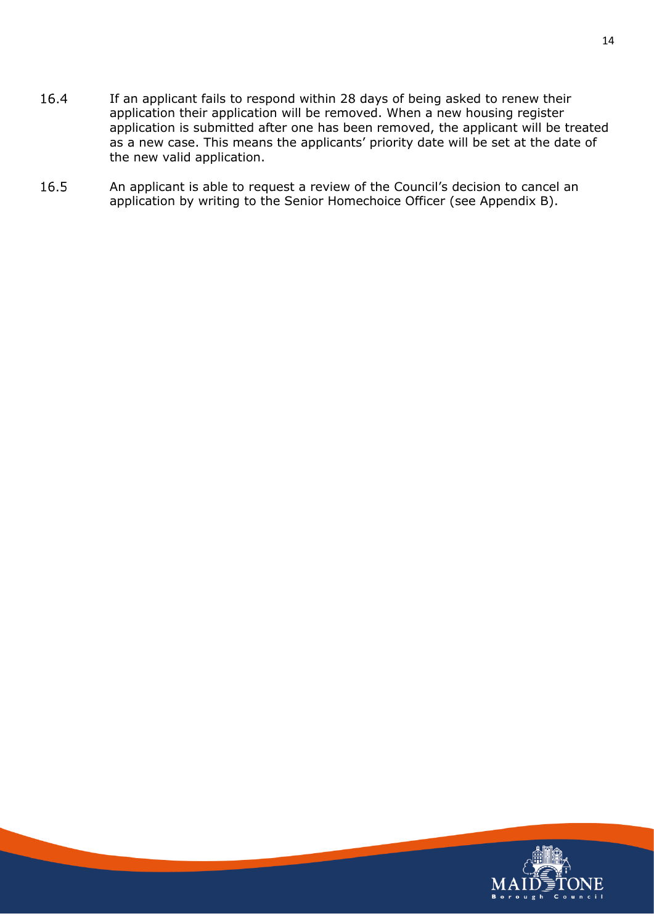- 16.4 If an applicant fails to respond within 28 days of being asked to renew their application their application will be removed. When a new housing register application is submitted after one has been removed, the applicant will be treated as a new case. This means the applicants' priority date will be set at the date of the new valid application.
- 16.5 An applicant is able to request a review of the Council's decision to cancel an application by writing to the Senior Homechoice Officer (see Appendix B).

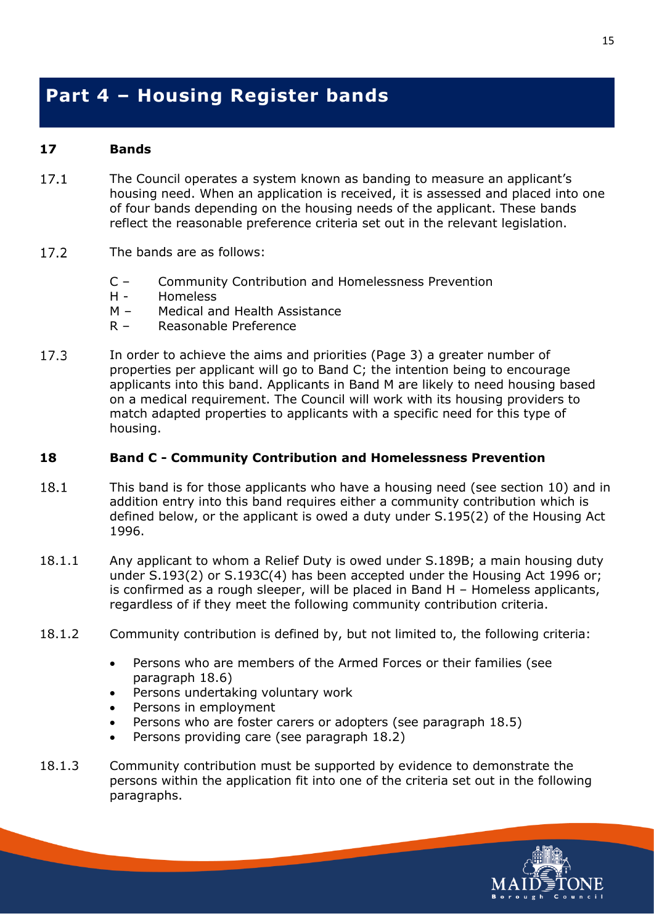## <span id="page-18-0"></span>**Part 4 – Housing Register bands**

#### <span id="page-18-1"></span>**17 Bands**

- $17.1$ The Council operates a system known as banding to measure an applicant's housing need. When an application is received, it is assessed and placed into one of four bands depending on the housing needs of the applicant. These bands reflect the reasonable preference criteria set out in the relevant legislation.
- 17.2 The bands are as follows:
	- C Community Contribution and Homelessness Prevention
	- H Homeless
	- M Medical and Health Assistance
	- R Reasonable Preference
- $17.3$ In order to achieve the aims and priorities (Page 3) a greater number of properties per applicant will go to Band C; the intention being to encourage applicants into this band. Applicants in Band M are likely to need housing based on a medical requirement. The Council will work with its housing providers to match adapted properties to applicants with a specific need for this type of housing.

#### <span id="page-18-2"></span>**18 Band C - Community Contribution and Homelessness Prevention**

- 18.1 This band is for those applicants who have a housing need (see section 10) and in addition entry into this band requires either a community contribution which is defined below, or the applicant is owed a duty under S.195(2) of the Housing Act 1996.
- 18.1.1 Any applicant to whom a Relief Duty is owed under S.189B; a main housing duty under S.193(2) or S.193C(4) has been accepted under the Housing Act 1996 or; is confirmed as a rough sleeper, will be placed in Band H – Homeless applicants, regardless of if they meet the following community contribution criteria.
- 18.1.2 Community contribution is defined by, but not limited to, the following criteria:
	- Persons who are members of the Armed Forces or their families (see paragraph 18.6)
	- Persons undertaking voluntary work
	- Persons in employment
	- Persons who are foster carers or adopters (see paragraph 18.5)
	- Persons providing care (see paragraph 18.2)
- 18.1.3 Community contribution must be supported by evidence to demonstrate the persons within the application fit into one of the criteria set out in the following paragraphs.

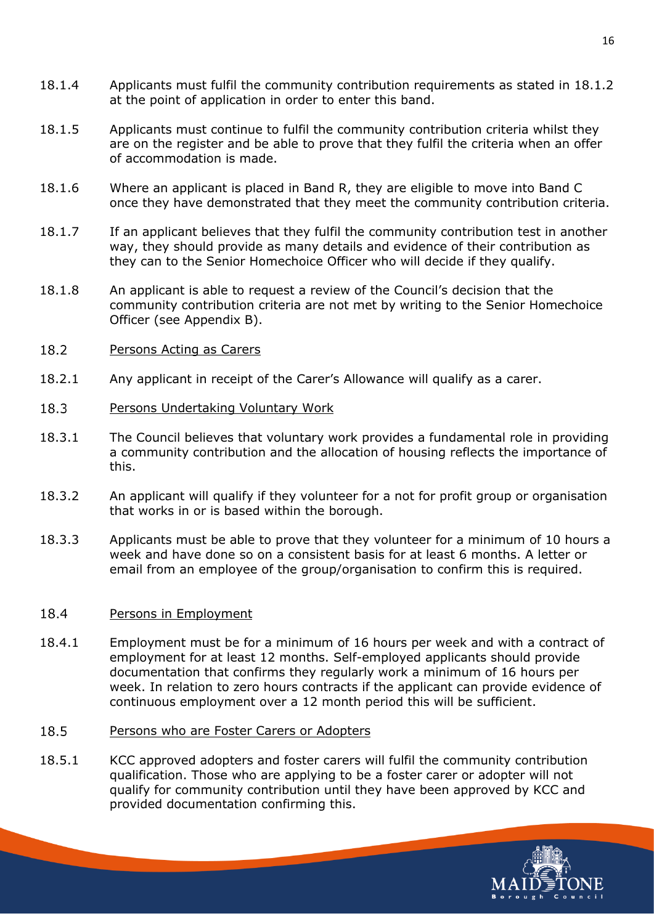- 18.1.4 Applicants must fulfil the community contribution requirements as stated in 18.1.2 at the point of application in order to enter this band.
- 18.1.5 Applicants must continue to fulfil the community contribution criteria whilst they are on the register and be able to prove that they fulfil the criteria when an offer of accommodation is made.
- 18.1.6 Where an applicant is placed in Band R, they are eligible to move into Band C once they have demonstrated that they meet the community contribution criteria.
- 18.1.7 If an applicant believes that they fulfil the community contribution test in another way, they should provide as many details and evidence of their contribution as they can to the Senior Homechoice Officer who will decide if they qualify.
- 18.1.8 An applicant is able to request a review of the Council's decision that the community contribution criteria are not met by writing to the Senior Homechoice Officer (see Appendix B).
- 18.2 Persons Acting as Carers
- 18.2.1 Any applicant in receipt of the Carer's Allowance will qualify as a carer.
- 18.3 Persons Undertaking Voluntary Work
- 18.3.1 The Council believes that voluntary work provides a fundamental role in providing a community contribution and the allocation of housing reflects the importance of this.
- 18.3.2 An applicant will qualify if they volunteer for a not for profit group or organisation that works in or is based within the borough.
- 18.3.3 Applicants must be able to prove that they volunteer for a minimum of 10 hours a week and have done so on a consistent basis for at least 6 months. A letter or email from an employee of the group/organisation to confirm this is required.

#### 18.4 Persons in Employment

- 18.4.1 Employment must be for a minimum of 16 hours per week and with a contract of employment for at least 12 months. Self-employed applicants should provide documentation that confirms they regularly work a minimum of 16 hours per week. In relation to zero hours contracts if the applicant can provide evidence of continuous employment over a 12 month period this will be sufficient.
- 18.5 Persons who are Foster Carers or Adopters
- 18.5.1 KCC approved adopters and foster carers will fulfil the community contribution qualification. Those who are applying to be a foster carer or adopter will not qualify for community contribution until they have been approved by KCC and provided documentation confirming this.

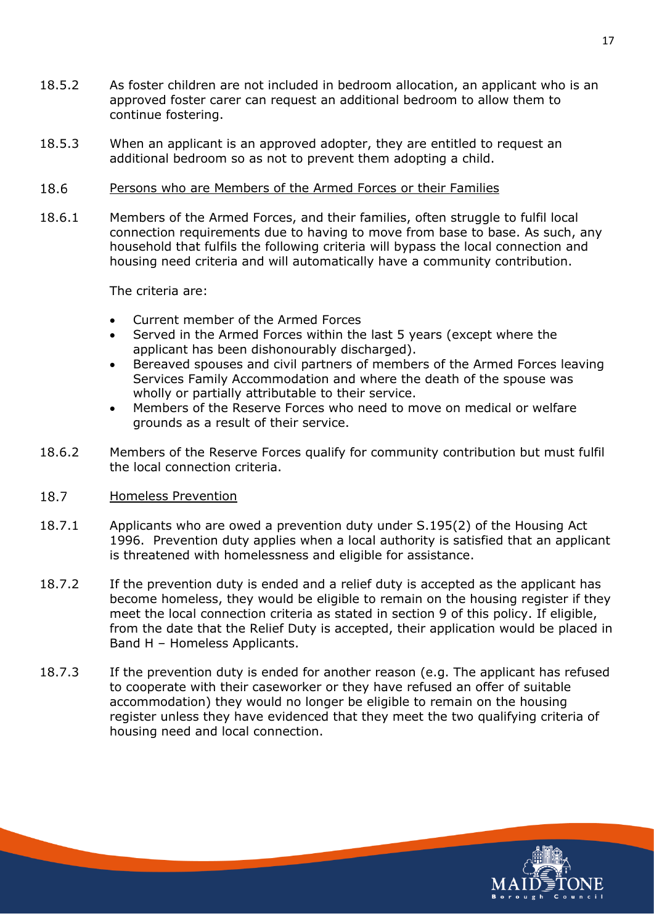- 18.5.2 As foster children are not included in bedroom allocation, an applicant who is an approved foster carer can request an additional bedroom to allow them to continue fostering.
- 18.5.3 When an applicant is an approved adopter, they are entitled to request an additional bedroom so as not to prevent them adopting a child.
- 18.6 Persons who are Members of the Armed Forces or their Families
- 18.6.1 Members of the Armed Forces, and their families, often struggle to fulfil local connection requirements due to having to move from base to base. As such, any household that fulfils the following criteria will bypass the local connection and housing need criteria and will automatically have a community contribution.

The criteria are:

- Current member of the Armed Forces
- Served in the Armed Forces within the last 5 years (except where the applicant has been dishonourably discharged).
- Bereaved spouses and civil partners of members of the Armed Forces leaving Services Family Accommodation and where the death of the spouse was wholly or partially attributable to their service.
- Members of the Reserve Forces who need to move on medical or welfare grounds as a result of their service.
- 18.6.2 Members of the Reserve Forces qualify for community contribution but must fulfil the local connection criteria.
- 18.7 Homeless Prevention
- 18.7.1 Applicants who are owed a prevention duty under S.195(2) of the Housing Act 1996. Prevention duty applies when a local authority is satisfied that an applicant is threatened with homelessness and eligible for assistance.
- 18.7.2 If the prevention duty is ended and a relief duty is accepted as the applicant has become homeless, they would be eligible to remain on the housing register if they meet the local connection criteria as stated in section 9 of this policy. If eligible, from the date that the Relief Duty is accepted, their application would be placed in Band H – Homeless Applicants.
- 18.7.3 If the prevention duty is ended for another reason (e.g. The applicant has refused to cooperate with their caseworker or they have refused an offer of suitable accommodation) they would no longer be eligible to remain on the housing register unless they have evidenced that they meet the two qualifying criteria of housing need and local connection.

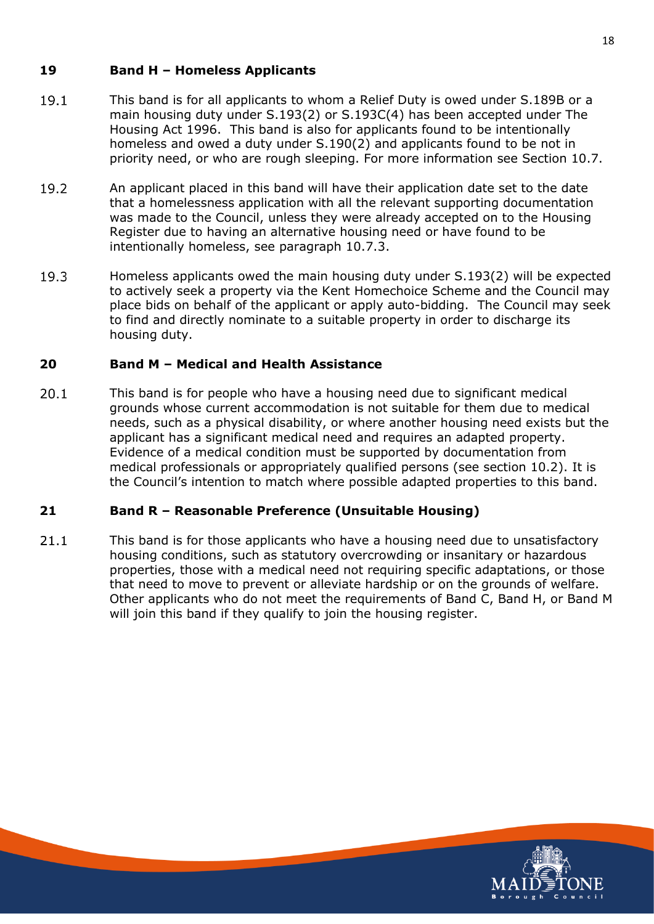#### <span id="page-21-0"></span>**19 Band H – Homeless Applicants**

- 19.1 This band is for all applicants to whom a Relief Duty is owed under S.189B or a main housing duty under S.193(2) or S.193C(4) has been accepted under The Housing Act 1996. This band is also for applicants found to be intentionally homeless and owed a duty under S.190(2) and applicants found to be not in priority need, or who are rough sleeping. For more information see Section 10.7.
- 19.2 An applicant placed in this band will have their application date set to the date that a homelessness application with all the relevant supporting documentation was made to the Council, unless they were already accepted on to the Housing Register due to having an alternative housing need or have found to be intentionally homeless, see paragraph 10.7.3.
- 19.3 Homeless applicants owed the main housing duty under S.193(2) will be expected to actively seek a property via the Kent Homechoice Scheme and the Council may place bids on behalf of the applicant or apply auto-bidding. The Council may seek to find and directly nominate to a suitable property in order to discharge its housing duty.

### <span id="page-21-1"></span>**20 Band M – Medical and Health Assistance**

 $20.1$ This band is for people who have a housing need due to significant medical grounds whose current accommodation is not suitable for them due to medical needs, such as a physical disability, or where another housing need exists but the applicant has a significant medical need and requires an adapted property. Evidence of a medical condition must be supported by documentation from medical professionals or appropriately qualified persons (see section 10.2). It is the Council's intention to match where possible adapted properties to this band.

#### <span id="page-21-2"></span>**21 Band R – Reasonable Preference (Unsuitable Housing)**

 $21.1$ This band is for those applicants who have a housing need due to unsatisfactory housing conditions, such as statutory overcrowding or insanitary or hazardous properties, those with a medical need not requiring specific adaptations, or those that need to move to prevent or alleviate hardship or on the grounds of welfare. Other applicants who do not meet the requirements of Band C, Band H, or Band M will join this band if they qualify to join the housing register.

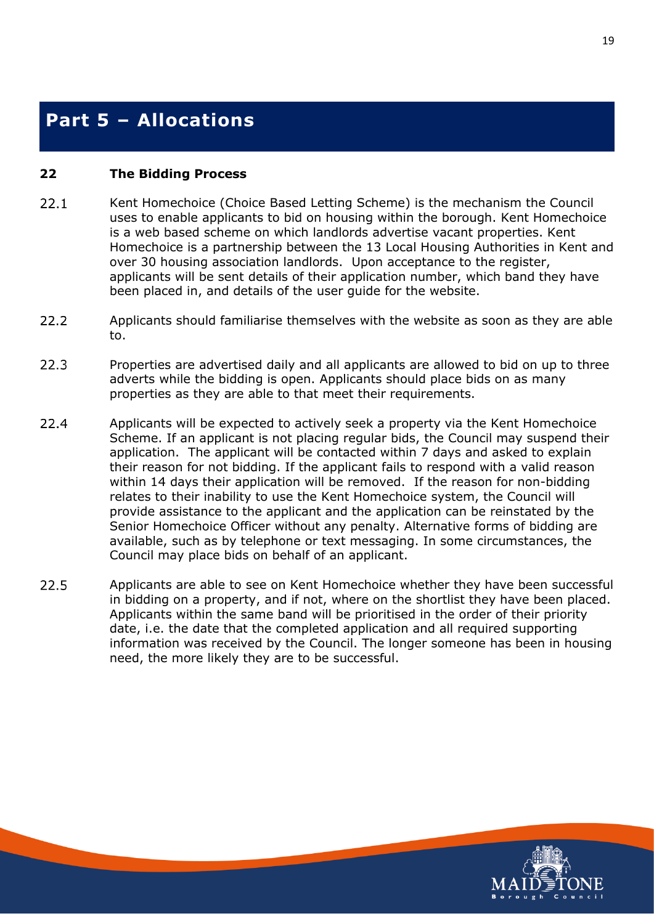### <span id="page-22-0"></span>**Part 5 – Allocations**

#### <span id="page-22-1"></span>**22 The Bidding Process**

- $22.1$ Kent Homechoice (Choice Based Letting Scheme) is the mechanism the Council uses to enable applicants to bid on housing within the borough. Kent Homechoice is a web based scheme on which landlords advertise vacant properties. Kent Homechoice is a partnership between the 13 Local Housing Authorities in Kent and over 30 housing association landlords. Upon acceptance to the register, applicants will be sent details of their application number, which band they have been placed in, and details of the user guide for the website.
- $22.2$ Applicants should familiarise themselves with the website as soon as they are able to.
- 22.3 Properties are advertised daily and all applicants are allowed to bid on up to three adverts while the bidding is open. Applicants should place bids on as many properties as they are able to that meet their requirements.
- 22.4 Applicants will be expected to actively seek a property via the Kent Homechoice Scheme. If an applicant is not placing regular bids, the Council may suspend their application. The applicant will be contacted within 7 days and asked to explain their reason for not bidding. If the applicant fails to respond with a valid reason within 14 days their application will be removed. If the reason for non-bidding relates to their inability to use the Kent Homechoice system, the Council will provide assistance to the applicant and the application can be reinstated by the Senior Homechoice Officer without any penalty. Alternative forms of bidding are available, such as by telephone or text messaging. In some circumstances, the Council may place bids on behalf of an applicant.
- 22.5 Applicants are able to see on Kent Homechoice whether they have been successful in bidding on a property, and if not, where on the shortlist they have been placed. Applicants within the same band will be prioritised in the order of their priority date, i.e. the date that the completed application and all required supporting information was received by the Council. The longer someone has been in housing need, the more likely they are to be successful.

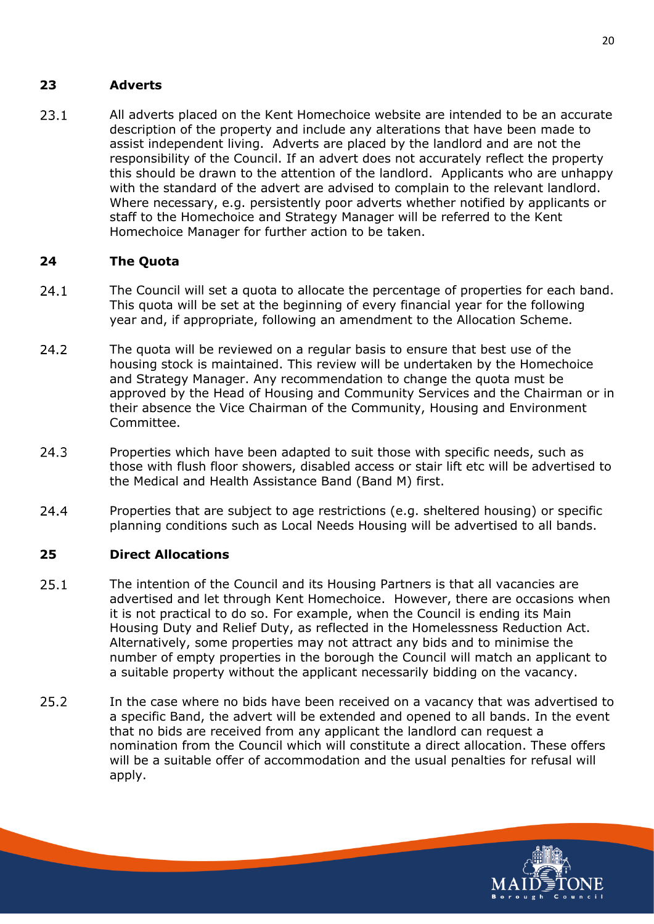#### <span id="page-23-0"></span>**23 Adverts**

 $23.1$ All adverts placed on the Kent Homechoice website are intended to be an accurate description of the property and include any alterations that have been made to assist independent living. Adverts are placed by the landlord and are not the responsibility of the Council. If an advert does not accurately reflect the property this should be drawn to the attention of the landlord. Applicants who are unhappy with the standard of the advert are advised to complain to the relevant landlord. Where necessary, e.g. persistently poor adverts whether notified by applicants or staff to the Homechoice and Strategy Manager will be referred to the Kent Homechoice Manager for further action to be taken.

#### <span id="page-23-1"></span>**24 The Quota**

- $24.1$ The Council will set a quota to allocate the percentage of properties for each band. This quota will be set at the beginning of every financial year for the following year and, if appropriate, following an amendment to the Allocation Scheme.
- $24.2$ The quota will be reviewed on a regular basis to ensure that best use of the housing stock is maintained. This review will be undertaken by the Homechoice and Strategy Manager. Any recommendation to change the quota must be approved by the Head of Housing and Community Services and the Chairman or in their absence the Vice Chairman of the Community, Housing and Environment Committee.
- $24.3$ Properties which have been adapted to suit those with specific needs, such as those with flush floor showers, disabled access or stair lift etc will be advertised to the Medical and Health Assistance Band (Band M) first.
- 24.4 Properties that are subject to age restrictions (e.g. sheltered housing) or specific planning conditions such as Local Needs Housing will be advertised to all bands.

#### <span id="page-23-2"></span>**25 Direct Allocations**

- $25.1$ The intention of the Council and its Housing Partners is that all vacancies are advertised and let through Kent Homechoice. However, there are occasions when it is not practical to do so. For example, when the Council is ending its Main Housing Duty and Relief Duty, as reflected in the Homelessness Reduction Act. Alternatively, some properties may not attract any bids and to minimise the number of empty properties in the borough the Council will match an applicant to a suitable property without the applicant necessarily bidding on the vacancy.
- 25.2 In the case where no bids have been received on a vacancy that was advertised to a specific Band, the advert will be extended and opened to all bands. In the event that no bids are received from any applicant the landlord can request a nomination from the Council which will constitute a direct allocation. These offers will be a suitable offer of accommodation and the usual penalties for refusal will apply.

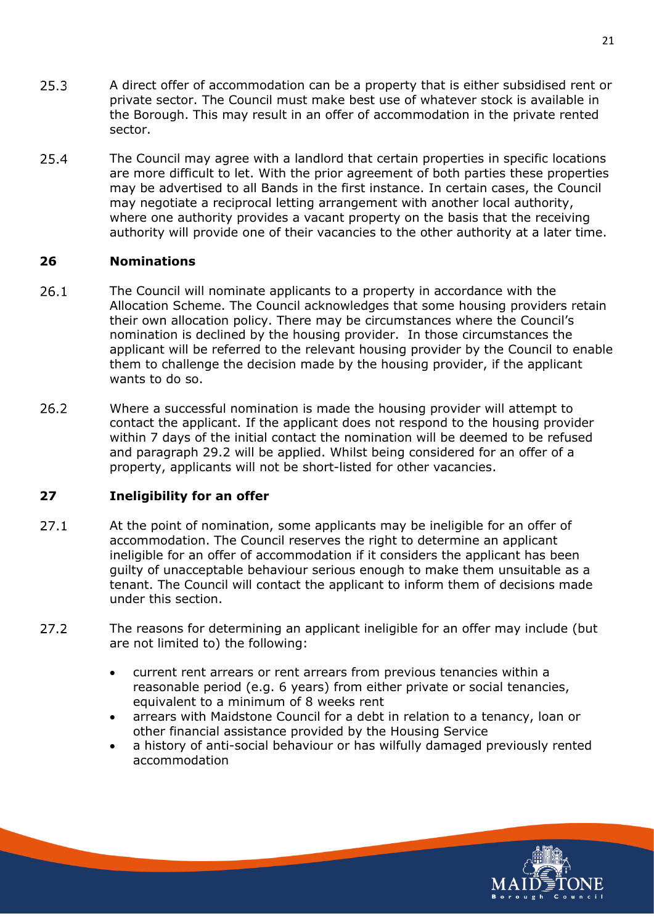- $25.3$ A direct offer of accommodation can be a property that is either subsidised rent or private sector. The Council must make best use of whatever stock is available in the Borough. This may result in an offer of accommodation in the private rented sector.
- 25.4 The Council may agree with a landlord that certain properties in specific locations are more difficult to let. With the prior agreement of both parties these properties may be advertised to all Bands in the first instance. In certain cases, the Council may negotiate a reciprocal letting arrangement with another local authority, where one authority provides a vacant property on the basis that the receiving authority will provide one of their vacancies to the other authority at a later time.

#### <span id="page-24-0"></span>**26 Nominations**

- 26.1 The Council will nominate applicants to a property in accordance with the Allocation Scheme. The Council acknowledges that some housing providers retain their own allocation policy. There may be circumstances where the Council's nomination is declined by the housing provider. In those circumstances the applicant will be referred to the relevant housing provider by the Council to enable them to challenge the decision made by the housing provider, if the applicant wants to do so.
- 26.2 Where a successful nomination is made the housing provider will attempt to contact the applicant. If the applicant does not respond to the housing provider within 7 days of the initial contact the nomination will be deemed to be refused and paragraph 29.2 will be applied. Whilst being considered for an offer of a property, applicants will not be short-listed for other vacancies.

#### <span id="page-24-1"></span>**27 Ineligibility for an offer**

- $27.1$ At the point of nomination, some applicants may be ineligible for an offer of accommodation. The Council reserves the right to determine an applicant ineligible for an offer of accommodation if it considers the applicant has been guilty of unacceptable behaviour serious enough to make them unsuitable as a tenant. The Council will contact the applicant to inform them of decisions made under this section.
- $27.2$ The reasons for determining an applicant ineligible for an offer may include (but are not limited to) the following:
	- current rent arrears or rent arrears from previous tenancies within a reasonable period (e.g. 6 years) from either private or social tenancies, equivalent to a minimum of 8 weeks rent
	- arrears with Maidstone Council for a debt in relation to a tenancy, loan or other financial assistance provided by the Housing Service
	- a history of anti-social behaviour or has wilfully damaged previously rented accommodation

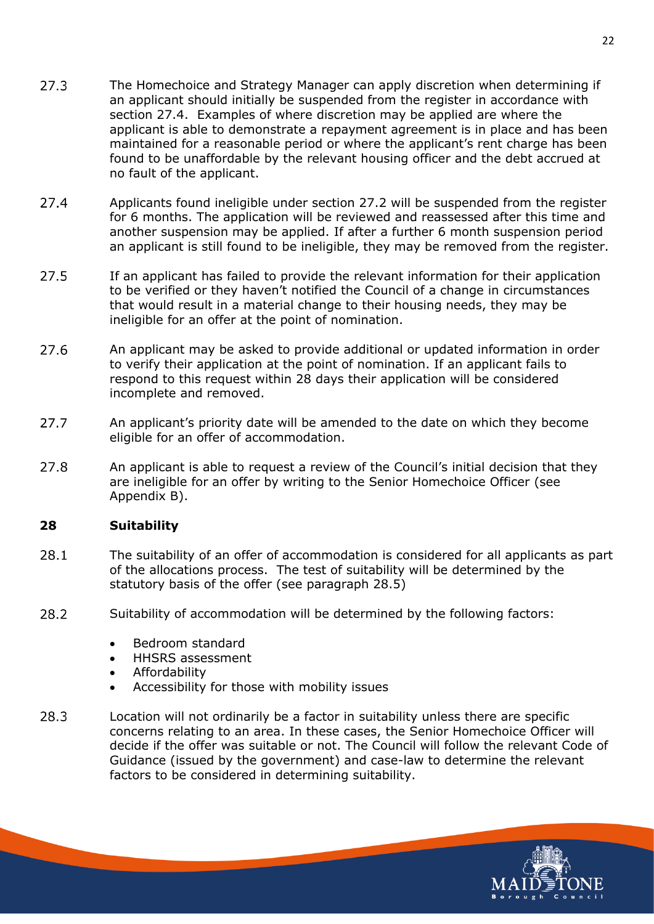- $27.3$ The Homechoice and Strategy Manager can apply discretion when determining if an applicant should initially be suspended from the register in accordance with section 27.4. Examples of where discretion may be applied are where the applicant is able to demonstrate a repayment agreement is in place and has been maintained for a reasonable period or where the applicant's rent charge has been found to be unaffordable by the relevant housing officer and the debt accrued at no fault of the applicant.
- $27.4$ Applicants found ineligible under section 27.2 will be suspended from the register for 6 months. The application will be reviewed and reassessed after this time and another suspension may be applied. If after a further 6 month suspension period an applicant is still found to be ineligible, they may be removed from the register.
- 27.5 If an applicant has failed to provide the relevant information for their application to be verified or they haven't notified the Council of a change in circumstances that would result in a material change to their housing needs, they may be ineligible for an offer at the point of nomination.
- 27.6 An applicant may be asked to provide additional or updated information in order to verify their application at the point of nomination. If an applicant fails to respond to this request within 28 days their application will be considered incomplete and removed.
- 27.7 An applicant's priority date will be amended to the date on which they become eligible for an offer of accommodation.
- 27.8 An applicant is able to request a review of the Council's initial decision that they are ineligible for an offer by writing to the Senior Homechoice Officer (see Appendix B).

#### <span id="page-25-0"></span>**28 Suitability**

- 28.1 The suitability of an offer of accommodation is considered for all applicants as part of the allocations process. The test of suitability will be determined by the statutory basis of the offer (see paragraph 28.5)
- 28.2 Suitability of accommodation will be determined by the following factors:
	- Bedroom standard
	- HHSRS assessment
	- Affordability
	- Accessibility for those with mobility issues
- 28.3 Location will not ordinarily be a factor in suitability unless there are specific concerns relating to an area. In these cases, the Senior Homechoice Officer will decide if the offer was suitable or not. The Council will follow the relevant Code of Guidance (issued by the government) and case-law to determine the relevant factors to be considered in determining suitability.

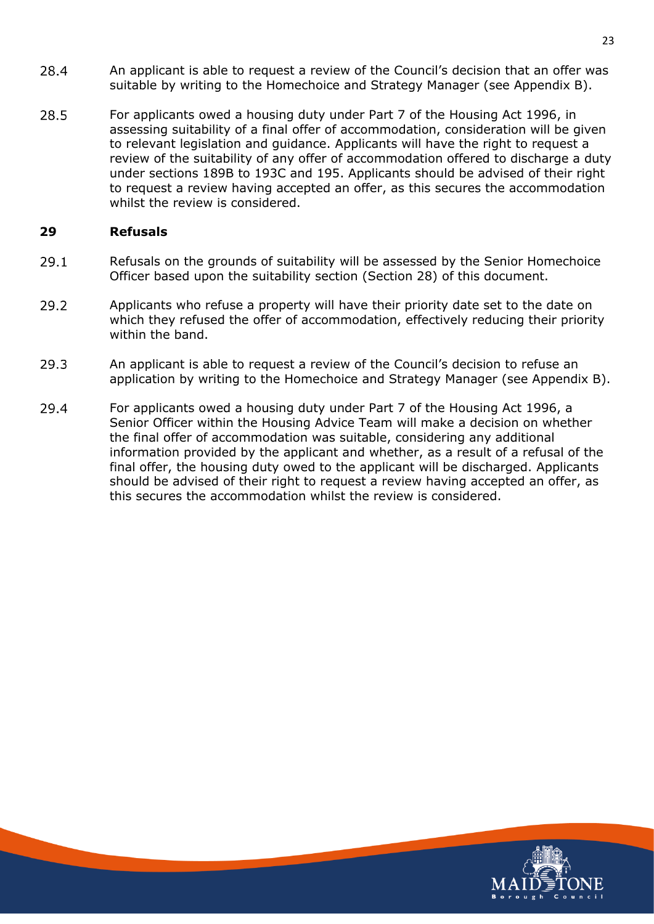- 28.4 An applicant is able to request a review of the Council's decision that an offer was suitable by writing to the Homechoice and Strategy Manager (see Appendix B).
- 28.5 For applicants owed a housing duty under Part 7 of the Housing Act 1996, in assessing suitability of a final offer of accommodation, consideration will be given to relevant legislation and guidance. Applicants will have the right to request a review of the suitability of any offer of accommodation offered to discharge a duty under sections 189B to 193C and 195. Applicants should be advised of their right to request a review having accepted an offer, as this secures the accommodation whilst the review is considered.

#### <span id="page-26-0"></span>**29 Refusals**

- 29.1 Refusals on the grounds of suitability will be assessed by the Senior Homechoice Officer based upon the suitability section (Section 28) of this document.
- 29.2 Applicants who refuse a property will have their priority date set to the date on which they refused the offer of accommodation, effectively reducing their priority within the band.
- 29.3 An applicant is able to request a review of the Council's decision to refuse an application by writing to the Homechoice and Strategy Manager (see Appendix B).
- 29.4 For applicants owed a housing duty under Part 7 of the Housing Act 1996, a Senior Officer within the Housing Advice Team will make a decision on whether the final offer of accommodation was suitable, considering any additional information provided by the applicant and whether, as a result of a refusal of the final offer, the housing duty owed to the applicant will be discharged. Applicants should be advised of their right to request a review having accepted an offer, as this secures the accommodation whilst the review is considered.

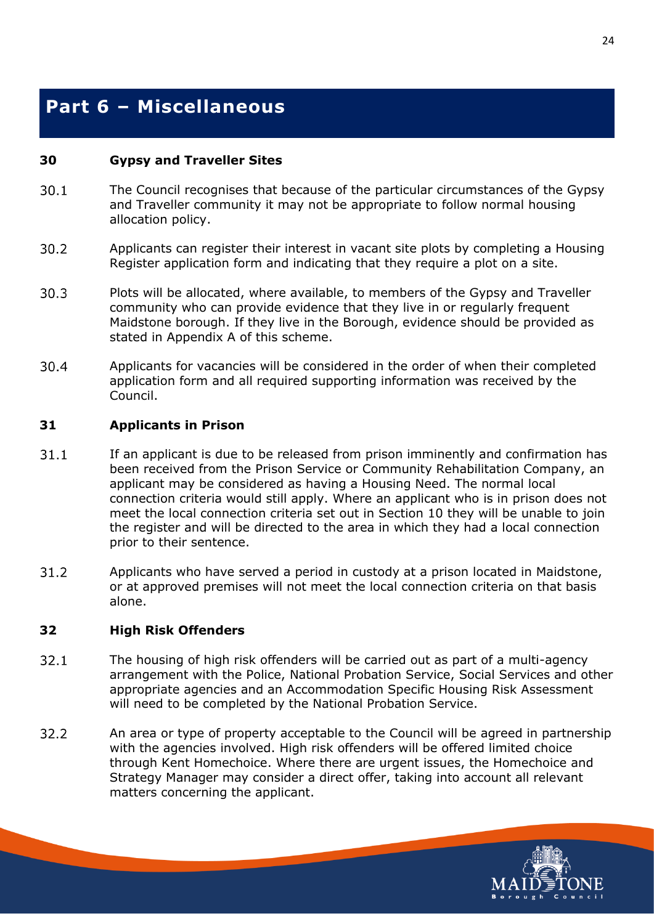## <span id="page-27-0"></span>**Part 6 – Miscellaneous**

#### <span id="page-27-1"></span>**30 Gypsy and Traveller Sites**

- $30.1$ The Council recognises that because of the particular circumstances of the Gypsy and Traveller community it may not be appropriate to follow normal housing allocation policy.
- $30.2$ Applicants can register their interest in vacant site plots by completing a Housing Register application form and indicating that they require a plot on a site.
- $30.3$ Plots will be allocated, where available, to members of the Gypsy and Traveller community who can provide evidence that they live in or regularly frequent Maidstone borough. If they live in the Borough, evidence should be provided as stated in Appendix A of this scheme.
- 30.4 Applicants for vacancies will be considered in the order of when their completed application form and all required supporting information was received by the Council.

#### <span id="page-27-2"></span>**31 Applicants in Prison**

- $31.1$ If an applicant is due to be released from prison imminently and confirmation has been received from the Prison Service or Community Rehabilitation Company, an applicant may be considered as having a Housing Need. The normal local connection criteria would still apply. Where an applicant who is in prison does not meet the local connection criteria set out in Section 10 they will be unable to join the register and will be directed to the area in which they had a local connection prior to their sentence.
- $31.2$ Applicants who have served a period in custody at a prison located in Maidstone, or at approved premises will not meet the local connection criteria on that basis alone.

#### <span id="page-27-3"></span>**32 High Risk Offenders**

- $32.1$ The housing of high risk offenders will be carried out as part of a multi-agency arrangement with the Police, National Probation Service, Social Services and other appropriate agencies and an Accommodation Specific Housing Risk Assessment will need to be completed by the National Probation Service.
- 32.2 An area or type of property acceptable to the Council will be agreed in partnership with the agencies involved. High risk offenders will be offered limited choice through Kent Homechoice. Where there are urgent issues, the Homechoice and Strategy Manager may consider a direct offer, taking into account all relevant matters concerning the applicant.

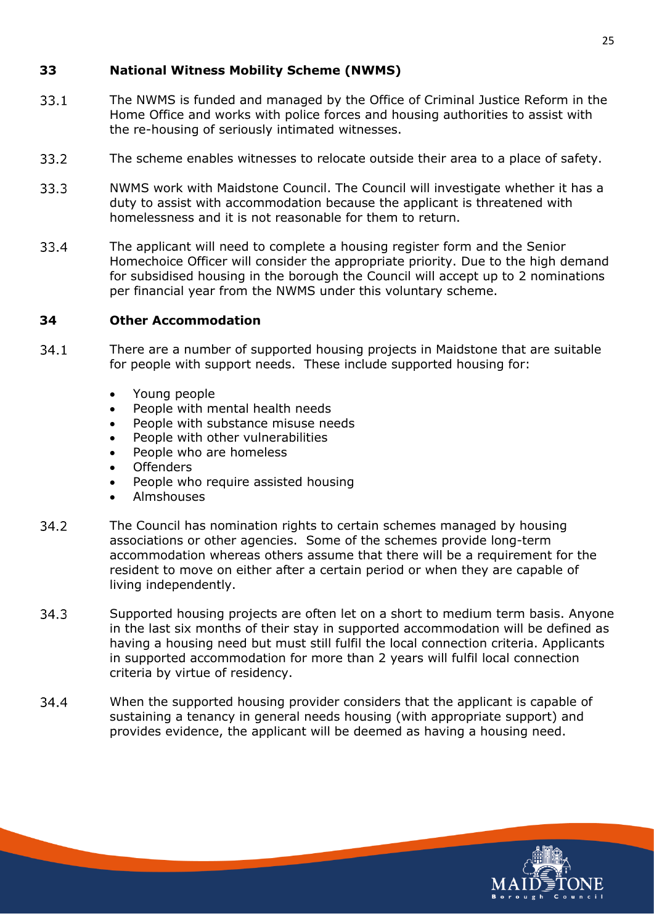#### <span id="page-28-0"></span>**33 National Witness Mobility Scheme (NWMS)**

- $33.1$ The NWMS is funded and managed by the Office of Criminal Justice Reform in the Home Office and works with police forces and housing authorities to assist with the re-housing of seriously intimated witnesses.
- 33.2 The scheme enables witnesses to relocate outside their area to a place of safety.
- 33.3 NWMS work with Maidstone Council. The Council will investigate whether it has a duty to assist with accommodation because the applicant is threatened with homelessness and it is not reasonable for them to return.
- 33.4 The applicant will need to complete a housing register form and the Senior Homechoice Officer will consider the appropriate priority. Due to the high demand for subsidised housing in the borough the Council will accept up to 2 nominations per financial year from the NWMS under this voluntary scheme.

#### <span id="page-28-1"></span>**34 Other Accommodation**

- $34.1$ There are a number of supported housing projects in Maidstone that are suitable for people with support needs. These include supported housing for:
	- Young people
	- People with mental health needs
	- People with substance misuse needs
	- People with other vulnerabilities
	- People who are homeless
	- **Offenders**
	- People who require assisted housing
	- Almshouses
- 34.2 The Council has nomination rights to certain schemes managed by housing associations or other agencies. Some of the schemes provide long-term accommodation whereas others assume that there will be a requirement for the resident to move on either after a certain period or when they are capable of living independently.
- 34.3 Supported housing projects are often let on a short to medium term basis. Anyone in the last six months of their stay in supported accommodation will be defined as having a housing need but must still fulfil the local connection criteria. Applicants in supported accommodation for more than 2 years will fulfil local connection criteria by virtue of residency.
- 34.4 When the supported housing provider considers that the applicant is capable of sustaining a tenancy in general needs housing (with appropriate support) and provides evidence, the applicant will be deemed as having a housing need.

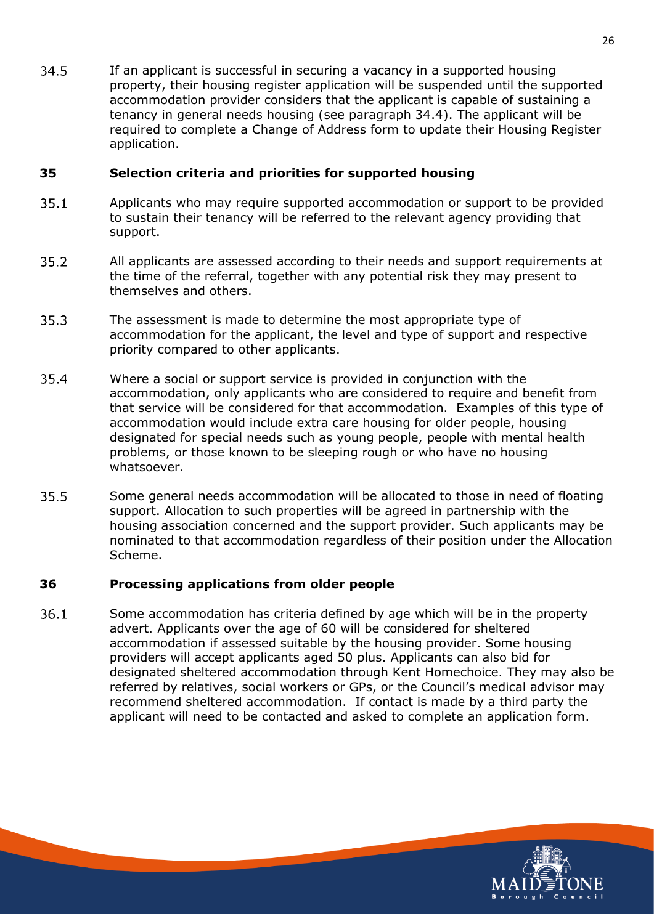34.5 If an applicant is successful in securing a vacancy in a supported housing property, their housing register application will be suspended until the supported accommodation provider considers that the applicant is capable of sustaining a tenancy in general needs housing (see paragraph 34.4). The applicant will be required to complete a Change of Address form to update their Housing Register application.

#### <span id="page-29-0"></span>**35 Selection criteria and priorities for supported housing**

- $35.1$ Applicants who may require supported accommodation or support to be provided to sustain their tenancy will be referred to the relevant agency providing that support.
- 35.2 All applicants are assessed according to their needs and support requirements at the time of the referral, together with any potential risk they may present to themselves and others.
- 35.3 The assessment is made to determine the most appropriate type of accommodation for the applicant, the level and type of support and respective priority compared to other applicants.
- 35.4 Where a social or support service is provided in conjunction with the accommodation, only applicants who are considered to require and benefit from that service will be considered for that accommodation. Examples of this type of accommodation would include extra care housing for older people, housing designated for special needs such as young people, people with mental health problems, or those known to be sleeping rough or who have no housing whatsoever.
- 35.5 Some general needs accommodation will be allocated to those in need of floating support. Allocation to such properties will be agreed in partnership with the housing association concerned and the support provider. Such applicants may be nominated to that accommodation regardless of their position under the Allocation Scheme.

#### <span id="page-29-1"></span>**36 Processing applications from older people**

 $36.1$ Some accommodation has criteria defined by age which will be in the property advert. Applicants over the age of 60 will be considered for sheltered accommodation if assessed suitable by the housing provider. Some housing providers will accept applicants aged 50 plus. Applicants can also bid for designated sheltered accommodation through Kent Homechoice. They may also be referred by relatives, social workers or GPs, or the Council's medical advisor may recommend sheltered accommodation. If contact is made by a third party the applicant will need to be contacted and asked to complete an application form.

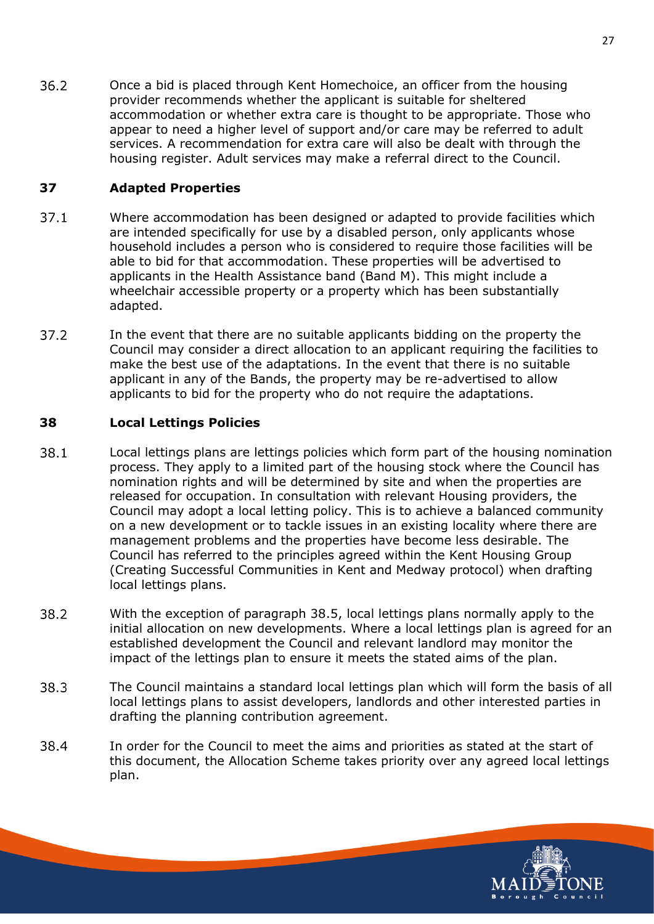$36.2$ Once a bid is placed through Kent Homechoice, an officer from the housing provider recommends whether the applicant is suitable for sheltered accommodation or whether extra care is thought to be appropriate. Those who appear to need a higher level of support and/or care may be referred to adult services. A recommendation for extra care will also be dealt with through the housing register. Adult services may make a referral direct to the Council.

#### <span id="page-30-0"></span>**37 Adapted Properties**

- $37.1$ Where accommodation has been designed or adapted to provide facilities which are intended specifically for use by a disabled person, only applicants whose household includes a person who is considered to require those facilities will be able to bid for that accommodation. These properties will be advertised to applicants in the Health Assistance band (Band M). This might include a wheelchair accessible property or a property which has been substantially adapted.
- 37.2 In the event that there are no suitable applicants bidding on the property the Council may consider a direct allocation to an applicant requiring the facilities to make the best use of the adaptations. In the event that there is no suitable applicant in any of the Bands, the property may be re-advertised to allow applicants to bid for the property who do not require the adaptations.

#### <span id="page-30-1"></span>**38 Local Lettings Policies**

- 38.1 Local lettings plans are lettings policies which form part of the housing nomination process. They apply to a limited part of the housing stock where the Council has nomination rights and will be determined by site and when the properties are released for occupation. In consultation with relevant Housing providers, the Council may adopt a local letting policy. This is to achieve a balanced community on a new development or to tackle issues in an existing locality where there are management problems and the properties have become less desirable. The Council has referred to the principles agreed within the Kent Housing Group (Creating Successful Communities in Kent and Medway protocol) when drafting local lettings plans.
- 38.2 With the exception of paragraph 38.5, local lettings plans normally apply to the initial allocation on new developments. Where a local lettings plan is agreed for an established development the Council and relevant landlord may monitor the impact of the lettings plan to ensure it meets the stated aims of the plan.
- 38.3 The Council maintains a standard local lettings plan which will form the basis of all local lettings plans to assist developers, landlords and other interested parties in drafting the planning contribution agreement.
- 38.4 In order for the Council to meet the aims and priorities as stated at the start of this document, the Allocation Scheme takes priority over any agreed local lettings plan.

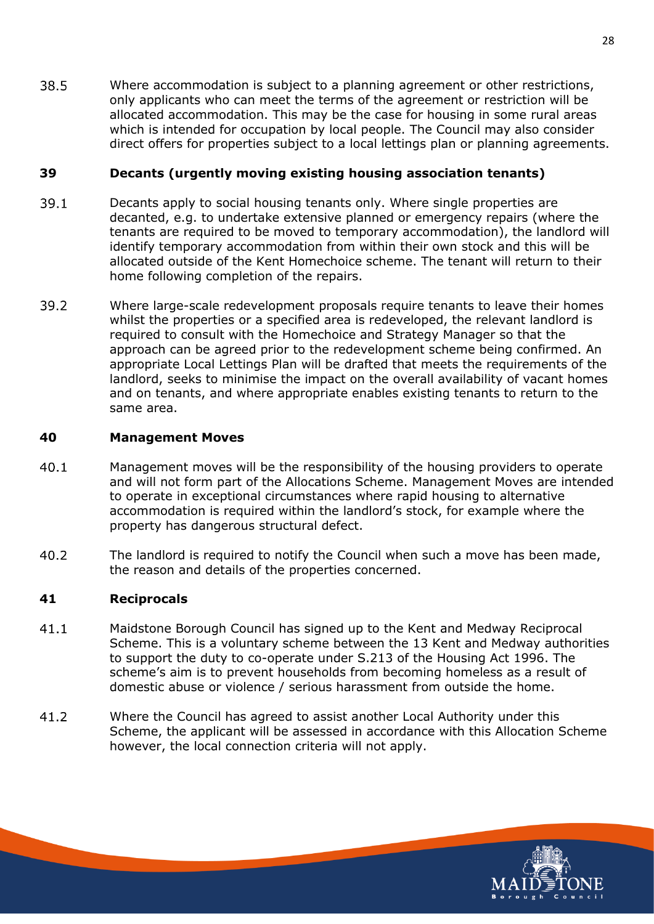38.5 Where accommodation is subject to a planning agreement or other restrictions, only applicants who can meet the terms of the agreement or restriction will be allocated accommodation. This may be the case for housing in some rural areas which is intended for occupation by local people. The Council may also consider direct offers for properties subject to a local lettings plan or planning agreements.

#### <span id="page-31-0"></span>**39 Decants (urgently moving existing housing association tenants)**

- $39.1$ Decants apply to social housing tenants only. Where single properties are decanted, e.g. to undertake extensive planned or emergency repairs (where the tenants are required to be moved to temporary accommodation), the landlord will identify temporary accommodation from within their own stock and this will be allocated outside of the Kent Homechoice scheme. The tenant will return to their home following completion of the repairs.
- 39.2 Where large-scale redevelopment proposals require tenants to leave their homes whilst the properties or a specified area is redeveloped, the relevant landlord is required to consult with the Homechoice and Strategy Manager so that the approach can be agreed prior to the redevelopment scheme being confirmed. An appropriate Local Lettings Plan will be drafted that meets the requirements of the landlord, seeks to minimise the impact on the overall availability of vacant homes and on tenants, and where appropriate enables existing tenants to return to the same area.

#### <span id="page-31-1"></span>**40 Management Moves**

- $40.1$ Management moves will be the responsibility of the housing providers to operate and will not form part of the Allocations Scheme. Management Moves are intended to operate in exceptional circumstances where rapid housing to alternative accommodation is required within the landlord's stock, for example where the property has dangerous structural defect.
- $40.2$ The landlord is required to notify the Council when such a move has been made, the reason and details of the properties concerned.

#### <span id="page-31-2"></span>**41 Reciprocals**

- $41.1$ Maidstone Borough Council has signed up to the Kent and Medway Reciprocal Scheme. This is a voluntary scheme between the 13 Kent and Medway authorities to support the duty to co-operate under S.213 of the Housing Act 1996. The scheme's aim is to prevent households from becoming homeless as a result of domestic abuse or violence / serious harassment from outside the home.
- $41.2$ Where the Council has agreed to assist another Local Authority under this Scheme, the applicant will be assessed in accordance with this Allocation Scheme however, the local connection criteria will not apply.

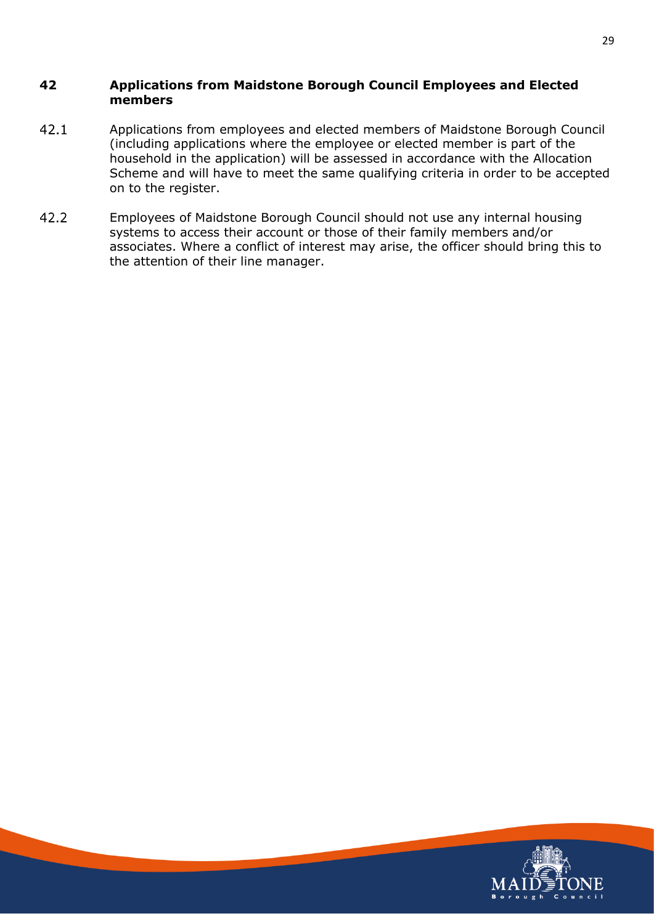#### <span id="page-32-0"></span>**42 Applications from Maidstone Borough Council Employees and Elected members**

- $42.1$ Applications from employees and elected members of Maidstone Borough Council (including applications where the employee or elected member is part of the household in the application) will be assessed in accordance with the Allocation Scheme and will have to meet the same qualifying criteria in order to be accepted on to the register.
- $42.2$ Employees of Maidstone Borough Council should not use any internal housing systems to access their account or those of their family members and/or associates. Where a conflict of interest may arise, the officer should bring this to the attention of their line manager.

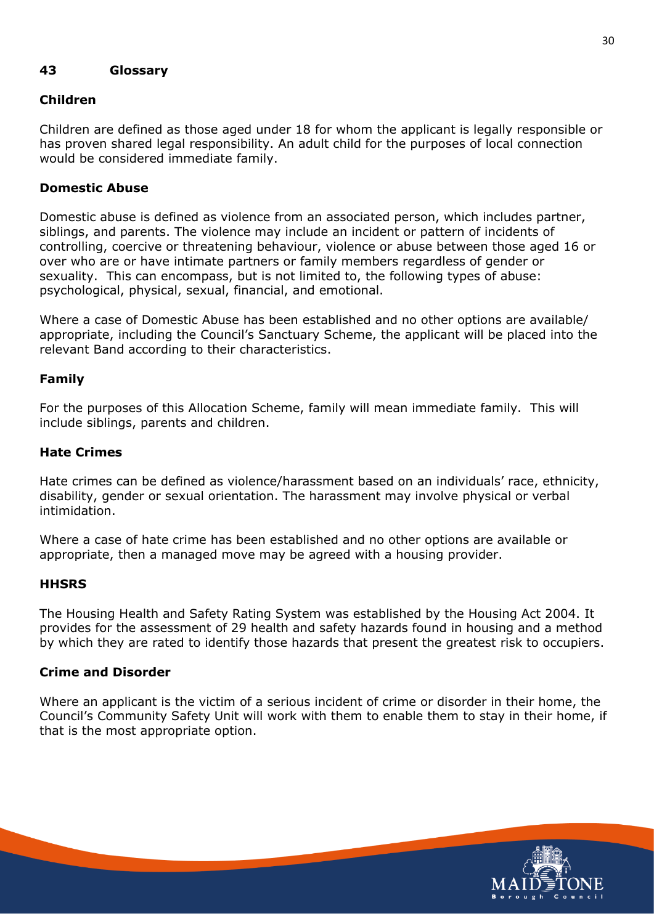#### <span id="page-33-0"></span>**43 Glossary**

#### **Children**

Children are defined as those aged under 18 for whom the applicant is legally responsible or has proven shared legal responsibility. An adult child for the purposes of local connection would be considered immediate family.

#### **Domestic Abuse**

Domestic abuse is defined as violence from an associated person, which includes partner, siblings, and parents. The violence may include an incident or pattern of incidents of controlling, coercive or threatening behaviour, violence or abuse between those aged 16 or over who are or have intimate partners or family members regardless of gender or sexuality. This can encompass, but is not limited to, the following types of abuse: psychological, physical, sexual, financial, and emotional.

Where a case of Domestic Abuse has been established and no other options are available/ appropriate, including the Council's Sanctuary Scheme, the applicant will be placed into the relevant Band according to their characteristics.

#### **Family**

For the purposes of this Allocation Scheme, family will mean immediate family. This will include siblings, parents and children.

#### **Hate Crimes**

Hate crimes can be defined as violence/harassment based on an individuals' race, ethnicity, disability, gender or sexual orientation. The harassment may involve physical or verbal intimidation.

Where a case of hate crime has been established and no other options are available or appropriate, then a managed move may be agreed with a housing provider.

#### **HHSRS**

The Housing Health and Safety Rating System was established by the Housing Act 2004. It provides for the assessment of 29 health and safety hazards found in housing and a method by which they are rated to identify those hazards that present the greatest risk to occupiers.

#### **Crime and Disorder**

Where an applicant is the victim of a serious incident of crime or disorder in their home, the Council's Community Safety Unit will work with them to enable them to stay in their home, if that is the most appropriate option.

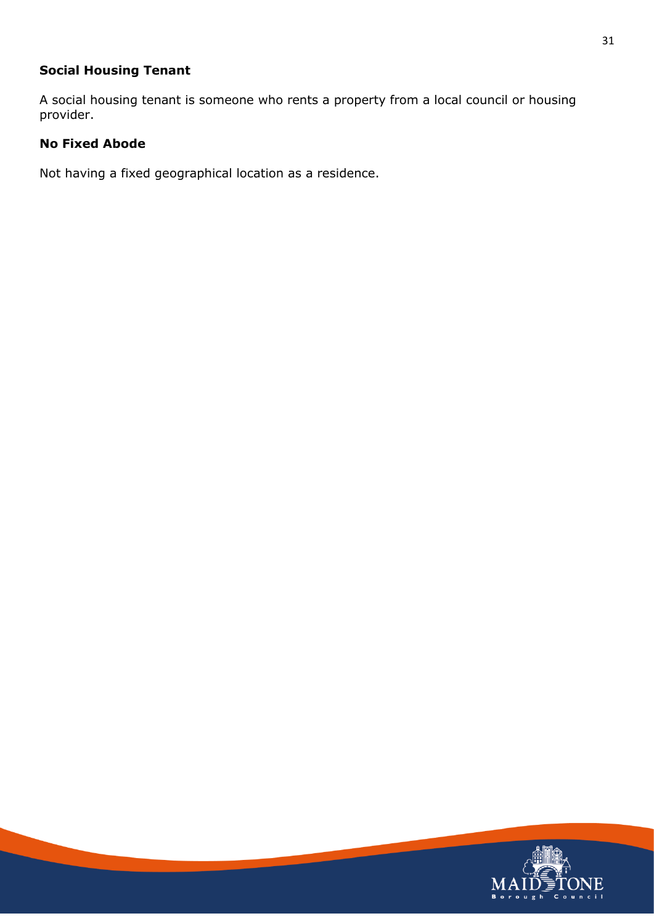### **Social Housing Tenant**

A social housing tenant is someone who rents a property from a local council or housing provider.

#### **No Fixed Abode**

Not having a fixed geographical location as a residence.

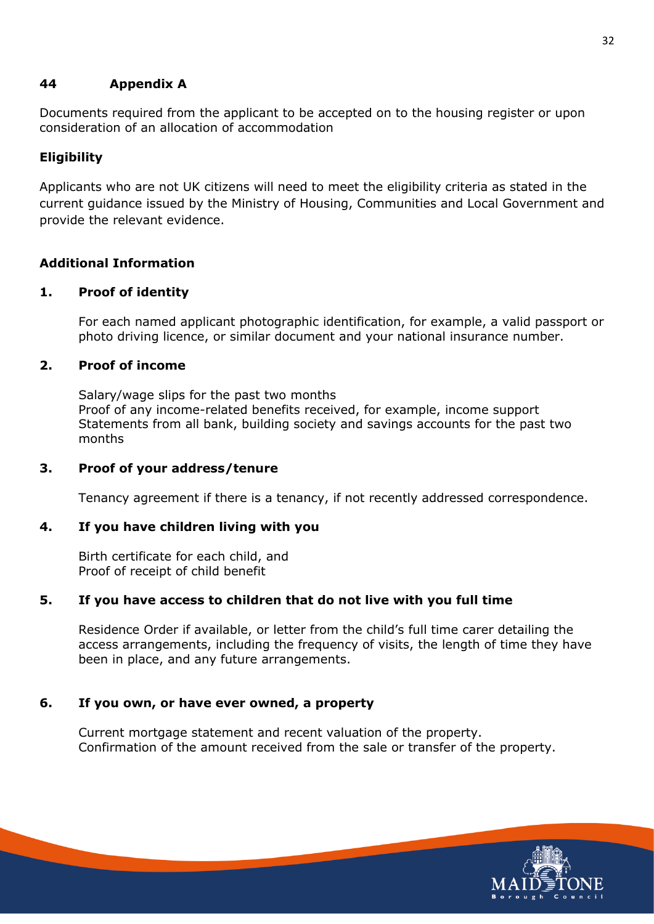#### <span id="page-35-0"></span>**44 Appendix A**

Documents required from the applicant to be accepted on to the housing register or upon consideration of an allocation of accommodation

#### **Eligibility**

Applicants who are not UK citizens will need to meet the eligibility criteria as stated in the current guidance issued by the Ministry of Housing, Communities and Local Government and provide the relevant evidence.

#### **Additional Information**

#### **1. Proof of identity**

For each named applicant photographic identification, for example, a valid passport or photo driving licence, or similar document and your national insurance number.

#### **2. Proof of income**

Salary/wage slips for the past two months Proof of any income-related benefits received, for example, income support Statements from all bank, building society and savings accounts for the past two months

#### **3. Proof of your address/tenure**

Tenancy agreement if there is a tenancy, if not recently addressed correspondence.

#### **4. If you have children living with you**

Birth certificate for each child, and Proof of receipt of child benefit

#### **5. If you have access to children that do not live with you full time**

Residence Order if available, or letter from the child's full time carer detailing the access arrangements, including the frequency of visits, the length of time they have been in place, and any future arrangements.

#### **6. If you own, or have ever owned, a property**

Current mortgage statement and recent valuation of the property. Confirmation of the amount received from the sale or transfer of the property.

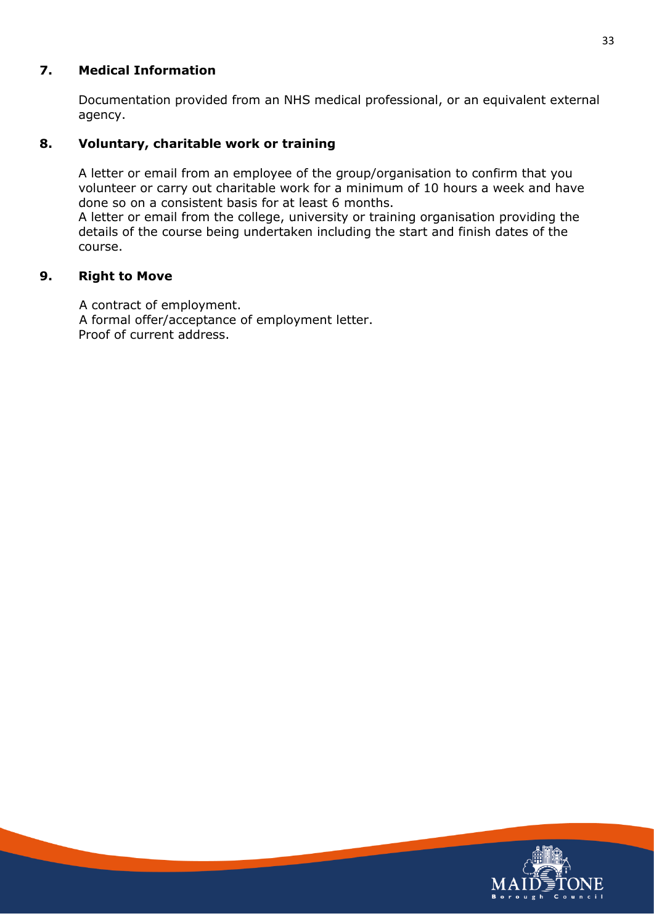#### **7. Medical Information**

Documentation provided from an NHS medical professional, or an equivalent external agency.

#### **8. Voluntary, charitable work or training**

A letter or email from an employee of the group/organisation to confirm that you volunteer or carry out charitable work for a minimum of 10 hours a week and have done so on a consistent basis for at least 6 months.

A letter or email from the college, university or training organisation providing the details of the course being undertaken including the start and finish dates of the course.

#### **9. Right to Move**

A contract of employment. A formal offer/acceptance of employment letter. Proof of current address.